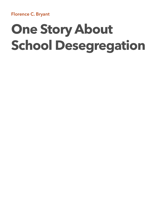**Florence C. Bryant** 

# **One Story About School Desegregation**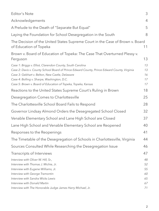| <b>Editor's Note</b>                                                                                                                                                                                                                                                                                                          | 3                          |
|-------------------------------------------------------------------------------------------------------------------------------------------------------------------------------------------------------------------------------------------------------------------------------------------------------------------------------|----------------------------|
| Acknowledgements                                                                                                                                                                                                                                                                                                              | $\overline{4}$             |
| A Prelude to the Death of "Separate But Equal"                                                                                                                                                                                                                                                                                | 5                          |
| Laying the Foundation for School Desegregation in the South                                                                                                                                                                                                                                                                   | 8                          |
| The Decision of the United States Supreme Court in the Case of Brown v. Board<br>of Education of Topeka                                                                                                                                                                                                                       | 11                         |
| Brown v. Board of Education of Topeka: The Case That Overturned Plessy v.<br>Ferguson                                                                                                                                                                                                                                         | 13                         |
| Case 1: Briggs v. Elliot, Clarendon County, South Carolina<br>Case 2: Davis v. County School Board of Prince Edward County, Prince Edward County, Virginia<br>Case 3: Gebhart v. Belton, New Castle, Delaware<br>Case 4: Bolling v. Sharpe, Washington, D.C.<br>Case 5: Brown v. Board of Education of Topeka, Topeka, Kansas | 13<br>13<br>16<br>17<br>17 |
| Reactions to the United States Supreme Court's Ruling in Brown                                                                                                                                                                                                                                                                | 18                         |
| Desegregation Comes to Charlottesville                                                                                                                                                                                                                                                                                        | 25                         |
| The Charlottesville School Board Fails to Respond                                                                                                                                                                                                                                                                             | 28                         |
| Governor Lindsay Almond Orders the Desegregated School Closed                                                                                                                                                                                                                                                                 | 32                         |
| Venable Elementary School and Lane High School are Closed                                                                                                                                                                                                                                                                     | 37                         |
| Lane High School and Venable Elementary School are Reopened                                                                                                                                                                                                                                                                   | 40                         |
| Responses to the Reopenings                                                                                                                                                                                                                                                                                                   | 41                         |
| The Timetable of the Desegregation of Schools in Charlottesville, Virginia                                                                                                                                                                                                                                                    | 44                         |
| Sources Consulted While Researching the Desegregation Issue                                                                                                                                                                                                                                                                   | 46                         |
| Transcripts of Interviews                                                                                                                                                                                                                                                                                                     | 47                         |
| Interview with Oliver W. Hill, Sr.,<br>Interview with Thomas J. Michie, Jr.<br>Interview with Eugene Williams, Jr.<br>Interview with George Tramontin                                                                                                                                                                         | 48<br>52<br>55<br>60       |
| Interview with Sandra Wicks Lewis                                                                                                                                                                                                                                                                                             | 65                         |
| Interview with Donald Martin<br>Interview with The Honorable Judge James Harry Michael, Jr.                                                                                                                                                                                                                                   | 67<br>71                   |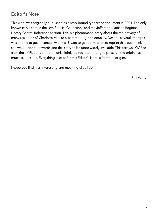# <span id="page-2-0"></span>**Editor's Note**

This work was originally published as a strip-bound typescript document in 2004. The only known copies are in the UVa Special Collections and the Jefferson-Madison Regional Library Central Reference section. This is a phenomenal story about the the bravery of many residents of Charlottesville to assert their right to equality. Despite several attempts, I was unable to get in contact with Ms. Bryant to get permission to reprint this, but I think she would want her words and this story to be more widely available. This text was OCRed from the JMRL copy and then only lightly edited, attempting to preserve the original as much as possible. Everything except for this Editor's Note is from the original.

I hope you find it as interesting and meaningful as I do.

— Phil Varner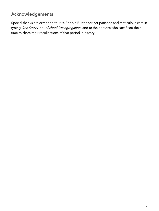# <span id="page-3-0"></span>**Acknowledgements**

Special thanks are extended to Mrs. Robbie Burton for her patience and meticulous care in typing *One Story About School Desegregation*, and to the persons who sacrificed their time to share their recollections of that period in history.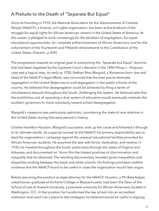# <span id="page-4-0"></span>**A Prelude to the Death of "Separate But Equal"**

Since its founding in 1910, the National Association for the Advancement of Colored People (NAACP), a biracial, civil rights organization, has been at the forefront of the struggle for equal rights for African American citizens in the United States of America. At the outset, it pledged to work unceasingly for the abolition of segregation, for equal educational opportunities, for complete enfranchisement of African Americans, and for the enforcement of the Fourteenth and Fifteenth Amendments to the Constitution of the United States. (Franklin, p.439)

The progression towards its original goal of overturning the "Separate but Equal" doctrine that had been legalized by the Supreme Court's decision in the 1896 *Plessy v. Ferguson*  case was a logical step. As early as 1930, Nathan Ross Margold, a Romanian-born Jew and head of the NAACP's legal efforts, was convinced that the best way to eliminate segregation in the United States was to end segregation in the public schools of the country. He believed that desegregation could be achieved by filing a series of simultaneous lawsuits throughout the South, challenging the system. He believed also that the prohibitive cost of operating a dual system of education would eventually motivate the southern governors to move voluntarily toward school desegregation.

Margold's viewpoint was particularly optimistic, considering the state of race relations in the United States during that early period in history.

Charles Hamilton Houston, Margold's successor, took up the cause and followed it through to its ultimate results. As a special counsel to the NAACP, his primary responsibility was to lead the organization's campaign against the unequal educational facilities provided for African American students. He assumed the task with fervor, dedication, and resolve. In 1935, he traveled throughout the South, particularly through the states of Virginia and Arkansas, and documented on 16mm film the blatant practices of discrimination and inequality that he observed. The resulting documentary revealed gross inequalities and disparities existing between the black and white schools. His findings provided credible evidence that the NAACP found to be useful in cases the organization would later argue.

Before assuming the position as legal attorney for the NAACP, Houston, a Phi Beta Kappa valedictorian graduate of Amherst College in Massachusetts, had been the Dean of the School of Law at Howard University, a premiere university for African Americans located in Washington, D.C. In that position he transformed the law school into an accredited institution and used it as a place to test strategies he believed would be useful in arguing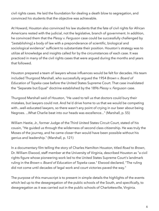civil rights cases. He laid the foundation for dealing a death blow to segregation, and convinced his students that the objective was achievable.

At Howard, Houston also convinced his law students that the fate of civil rights for African Americans rested with the judicial, not the legislative, branch of government. In addition, he convinced them that the *Plessy v. Ferguson* case could be successfully challenged by "[establishing] a body of law with a preponderance of scientific, biological and sociological evidence" sufficient to substantiate their position. Houston's strategy was to utilize all knowledge and insights called for by the circumstances of each case. It was practiced in many of the civil rights cases that were argued during the months and years that followed.

Houston prepared a team of lawyers whose influences would be felt for decades. His team included Thurgood Marshall, who successfully argued the 1954 *Brown v. Board of Education of Topeka* case before the United States Supreme Court. That case invalidated the "Separate but Equal" doctrine established by the 1896 *Plessy v. Ferguson* case.

Thurgood Marshall said of Houston, "He used to tell us that doctors could bury their mistakes, but lawyers could not. And he'd drive home to us that we would be competing with...well-educated lawyers, so there wasn't any point of crying in our beer about being Negroes. ...What Charlie beat into our heads was excellence..." (Marshall, p. 55)

William Hastie, Jr., former Judge of the Third United States Circuit Court, stated of his cousin, "He guided us through the wilderness of second class citizenship. He was truly the Moses of the journey, and he came closer than would have been possible without his genius and leadership." (Marshall, p. 121)

In a documentary film telling the story of Charles Hamilton Houston, titled *Road to Brown*, Dr. William Elwood, staff member at the University of Virginia, described Houston as "a civil rights figure whose pioneering work led to the United States Supreme Court's landmark ruling in the *Brown v. Board of Education of Topeka* case." Elwood declared, "The ruling did not come until decades of legal work and court victories paved the way."

The purpose of this manuscript is to present in simple details the highlights of the events which led up to the desegregation of the public schools of the South, and specifically, to desegregation as it was carried out in the public schools of Charlottesville, Virginia.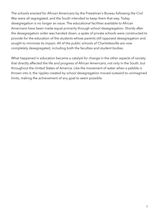The schools erected for African Americans by the Freedman's Bureau following the Civil War were all segregated, and the South intended to keep them that way. Today desegregation is no longer an issue. The educational facilities available to African Americans have been made equal primarily through school desegregation. Shortly after the desegregation order was handed down, a spate of private schools were constructed to provide for the education of the students whose parents still opposed desegregation and sought to minimize its impact. All of the public schools of Charlottesville are now completely desegregated, including both the faculties and student bodies.

What happened in education became a catalyst for change in the other aspects of society that directly affected the life and progress of African Americans, not only in the South, but throughout the United States of America. Like the movement of water when a pebble is thrown into it, the ripples created by school desegregation moved outward to unimagined limits, making the achievement of any goal to seem possible.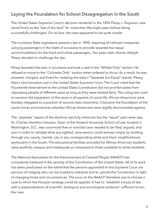## <span id="page-7-0"></span>**Laying the Foundation for School Desegregation in the South**

The United States Supreme Court's decision rendered in the 1896 *Plessy v. Ferguson* case stood firmly as the "law of the land" for more than fifty-eight years before being successfully challenged. On its face, the case appeared to be quite simple.

The Louisiana State Legislature passed a law in 1890, requiring all railroad companies carrying passengers in the State of Louisiana to provide separate but equal accommodations for the black and white passengers. Two years later, Homer Adolph Plessy decided to challenge the law.

Plessy boarded the train in Louisiana and took a seat in the "Whites Only" section. He refused to move to the "Coloreds Only" section when ordered to do so. As a result, he was arrested, charged, and fined for violating the state's "Separate but Equal" statute. Plessy filed a discrimination suit in the United States Supreme Court. The Court ruled that the Fourteenth Amendment to the United States Constitution did not prohibit states from separating people of different races as long as they were treated fairly. The ruling was used to sanction the separation of the races in all aspects of social life. African Americans were thereby relegated to a position of second class citizenship. It became the foundation of the social mores and practices whereby African Americans were legally discriminated against.

The "separate" aspect of the doctrine was fully enforced, but the "equal" part never was. Dr. Charles Hamilton Houston, Dean of the Howard University School of Law, located in Washington, D.C., was convinced that an ironclad case needed to be filed, argued, and won in order to validate what any sighted, sane person could witness simply by strolling through any county, hamlet, city or any corresponding white and black neighborhood, particularly in the South: The educational facilities provided for African American students were woefully unequal and inadequate as compared to those available to white students.

The National Association for the Advancement of Colored People (NAACP) has consistently believed in the sanctity of the Constitution of the United States. All of its work has been predicated on the belief that the persons appointed to the Supreme Court are persons of integrity who can be trusted to interpret and to uphold the Constitution in light of changing times and circumstances. The onus on the NAACP, therefore was to choose a case to which the Houston strategy could be applied. It had to "establish a body of law with a preponderance of scientific, biological and sociological evidence" sufficient to win the case.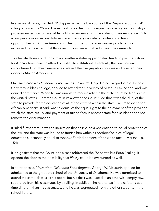In a series of cases, the NAACP chipped away the backbone of the "Separate but Equal" ruling legalized by *Plessy*. The earliest cases dealt with inequalities existing in the quality of professional education available to African Americans in the states of their residence. Only a few privately-owned institutions were offering graduate or professional training opportunities for African Americans. The number of persons seeking such training increased to the extent that those institutions were unable to meet the demands.

To alleviate those conditions, many southern states appropriated funds to pay the tuition for African Americans to attend out-of-state institutions. Eventually the practice was discontinued. Southern universities relaxed their segregation policies and opened their doors to African Americans.

One such case was *Missouri ex rel. Gaines v. Canada.* Lloyd Gaines, a graduate of Lincoln University, a black college, applied to attend the University of Missouri Law School and was denied admittance. When he was unable to receive relief in the state court, he filed suit in the United States Supreme Court. In its answer, the Court ruled that it was the duty of the state to provide for the education of all of the citizens within the state. Failure to do so for African Americans, it said, was "a denial of the equal right to the enjoyment of the privilege which the state set up, and payment of tuition fees in another state for a student does not remove the discrimination."

It ruled further that "it was an indication that he (Gaines) was entitled to equal protection of the law, and the state was bound to furnish him within its borders facilities of legal education substantially equal to those...afforded persons of the white race." (Marshall, p. 154)

It is significant that the Court in this case addressed the "Separate but Equal" ruling. It opened the door to the possibility that *Plessy* could be overturned as well.

In another case, *McLaurin v. Oklahoma State Regents*, George W. McLaurin applied for admittance to the graduate school of the University of Oklahoma. He was permitted to attend the same classes as his peers, but his desk was placed in an otherwise empty row, separated from his classmates by a railing. In addition, he had to eat in the cafeteria at a time different than his classmates, and he was segregated from the other students in the school library.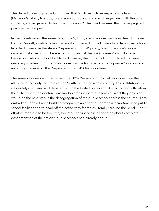The United States Supreme Court ruled that "such restrictions impair and inhibit his (McLaurin's) ability to study, to engage in discussions and exchange views with the other students, and in general, to learn his profession." The Court ordered that the segregated practices be stopped.

In the meantime, on the same date, June 5, 1950, a similar case was being heard in Texas. Herman Sweatt, a native Texan, had applied to enroll in the University of Texas Law School. In order to preserve the state's "Separate but Equal" policy, one of the state's judges ordered that a law school be erected for Sweatt at the black Prairie View College, a basically vocational school for blacks. However, the Supreme Court ordered the Texas university to admit him. The Sweatt case was the first in which the Supreme Court ordered an outright reversal of the "Separate but Equal" *Plessy* doctrine.

The series of cases designed to test the 1896 "Separate but Equal" doctrine drew the attention of not only the states of the South, but of the whole country. Its constitutionality was widely discussed and debated within the United States and abroad. School officials in the states where the doctrine was law became desperate to forestall what they believed would be the next step in the desegregation of the public schools across the country. They embarked upon a frantic building program in an effort to upgrade African American public school facilities and to head off the action they feared as literally "around the bend." Their efforts turned out to be too little, too late. The first phase of bringing about complete desegregation of the nation's public schools had already begun.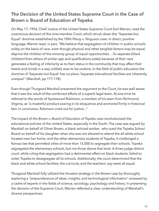# <span id="page-10-0"></span>**The Decision of the United States Supreme Court in the Case of Brown v. Board of Education of Topeka**

On May 17, 1954, Chief Justice of the United States Supreme Court Earl Warren, read the unanimous decision of the nine-member Court, which struck down the "Separate but Equal" doctrine established by the 1896 *Plessy v. Ferguson* case. In direct, positive language, Warren read, in part, "We believe that segregation of children in public schools solely on the basis of race, even though physical and other tangible factors may be equal, deprive the children of the minority group of equal opportunities. ...To separate (black children) from others of similar age and qualifications solely because of their race generates a feeling of inferiority as to their status in the community that may affect their hearts and minds in a way unlikely ever to be undone. In the field of public education the doctrine of 'Separate but Equal' has no place. Separate educational facilities are inherently unequal." (Marshall, pp 177-178)

Even though Thurgood Marshall presented the argument to the Court, he was well aware that it was the result of the combined efforts of a superb legal team. At one time he referred to the words of Spotswood Robinson, a member of his team from Richmond, Virginia, as "a masterful product soaring in its eloquence and anchored firmly in historical fact. In conclusion, Robinson cried out for justice..."

The impact of the *Brown v. Board of Education of Topeka* case revolutionized the educational policies of the United States, especially in the South. The case was argued by Marshall on behalf of Oliver Brown, a black railroad worker, who sued the Topeka School Board on behalf of his daughter when she was not allowed to attend the all-white school located near her home, and the other elementary students of Topeka. It challenged a Kansas law that permitted cities of more than 15,000 to segregate their schools. Topeka segregated the elementary schools, but not those above that level. A three-judge district court, while ruling that segregation had a detrimental effect on black students, failed to order Topeka to desegregate all its schools. Additionally, the court determined that the black and white school facilities, the curricula, and the teachers' pay were all equal.

Thurgood Marshall fully utilized the Houston strategy in the Brown case by thoroughly exploring a "preponderance of ideas, insights, and technological information" amassed by a cadre of experts in the fields of science, sociology, psychology and history. In presenting the decision of the Supreme Court, Warren reflected a clear understanding of Marshall's diverse perspectives.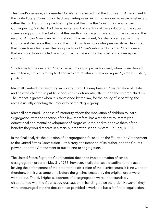The Court's decision, as presented by Warren reflected that the Fourteenth Amendment to the United States Constitution had been interpreted in light of modern-day circumstances, rather than in light of the practices in place at the time the Constitution was ratified. Consequently, Marshall had the advantage of half-century of the evolution of the social sciences supporting the belief that the results of segregation were both the cause and the result of African Americans victimization. In his argument, Marshall disagreed with the Court's past decisions that upheld the Jim Crow laws supporting segregation. He argued that those laws clearly resulted in a practice of "man's inhumanity to man." He believed that such practices inflicted psychological damage and anti-social tendencies upon children.

"Such affects," he declared, "deny the victims equal protection, and, when those denied are children, the sin is multiplied and lives are misshapen beyond repair." (Simple Justice, p. 345)

Marshall clarified the reasoning in his argument. He emphasized, "Segregation of white and colored children in public schools has a detrimental affect upon the colored children. The impact is greater when it is sanctioned by the law, for the policy of separating the races is usually denoting the inferiority of the Negro group.

Marshall continued, "A sense of inferiority affects the motivation of children to learn. Segregation, with the sanction of the law, therefore, has a tendency to [retard] the educational and mental development of Negro children, and to deprive them of the benefits they would receive in a racially integrated school system." (Klugar, p. 324)

In the final analysis, the question of desegregation focused on the Fourteenth Amendment to the United States Constitution — its history, the intention of its author, and the Court's power under the Amendment to put an end to segregation.

The United States Supreme Court handed down the implementation of school desegregation order on May 31, 1955; however, it failed to set a deadline for the action, leaving the enforcement of the order to the discretion of the district courts. It is no wonder, therefore, that it was some time before the glitches created by the original order were worked out. The civil rights supporters of desegregation were understandably disappointed with the Court's obvious caution in handing down the order. However, they were encouraged that the decision had provided a workable basis for future legal action.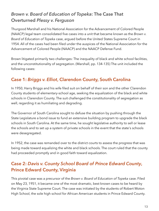# <span id="page-12-0"></span>*Brown v. Board of Education of Topeka***: The Case That Overturned** *Plessy v. Ferguson*

Thurgood Marshall and his National Association for the Advancement of Colored People (NAACP) legal team consolidated five cases into a unit that became known as the *Brown v. Board of Education of Topeka* case, argued before the United States Supreme Court in 1954. All of the cases had been filed under the auspices of the National Association for the Advancement of Colored People (NAACP) and the NAACP Defense Fund.

Brown litigated primarily two challenges: The inequality of black and white school facilities, and the unconstitutionality of segregation. (Marshall, pp. 134-135) The unit included the following cases:

### <span id="page-12-1"></span>**Case 1:** *Briggs v. Elliot***, Clarendon County, South Carolina**

In 1950, Harry Briggs and his wife filed suit on behalf of their son and the other Clarendon County students of elementary-school age, seeking the equalization of the black and white schools in Clarendon County. The suit challenged the constitutionality of segregation as well, regarding it as humiliating and degrading.

The Governor of South Carolina sought to defuse the situation by pushing through the State Legislature a bond issue to fund an extensive building program to upgrade the black schools in South Carolina. At the same time, he sought legislative authority to sell or lease the schools and to set up a system of private schools in the event that the state's schools were desegregated.

In 1952, the case was remanded over to the district courts to assess the progress that was being made toward equalizing the white and black schools. The court ruled that the county had proceeded promptly and in good faith toward equalization.

# <span id="page-12-2"></span>**Case 2:** *Davis v. County School Board of Prince Edward County***, Prince Edward County, Virginia**

This pivotal case was a precursor of the *Brown v. Board of Education of Topeka* case. Filed on May 23, 1951, it became one of the most dramatic, best known cases to be heard by the Virginia State Supreme Court. The case was initiated by the students of Robert Moton High School, the sole high school for African American students in Prince Edward County.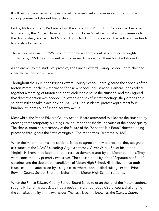It will be discussed in rather great detail, because it set a precedence for demonstrating strong, committed student leadership.

Led by Moton student, Barbara Johns, the students of Moton High School had become frustrated by the Prince Edward County School Board's failure to make improvements to the dilapidated, overcrowded Moton High School, or to pass a bond issue to acquire funds to construct a new school.

The school was built in 1926 to accommodate an enrollment of one hundred eighty students. By 1950, its enrollment had increased to more than three hundred students.

As an answer to the students' protests, The Prince Edward County School Board chose to close the school for five years.

Throughout the 1940's the Prince Edward County School Board ignored the appeals of the Moton Parent Teachers Association for a new school. In frustration, Barbara Johns called together a meeting of Moton's student leaders to discuss the situation, and they agreed that dramatic action was needed. Following a series of secret meetings, they organized a student strike to take place on April 23, 1951. The students' protest kept almost four hundred students out of school for two weeks.

Meanwhile, the Prince Edward County School Board attempted to alleviate the situation by erecting three temporary buildings, called "tar paper shacks" because of their poor quality. The shacks stood as a testimony of the failure of the "Separate but Equal" doctrine being practiced throughout the State of Virginia. (The Moderates' Dilemma, p. 136)

When the Moton parents and students failed to agree on how to proceed, they sought the assistance of the NAACP's leading Virginia attorney, Oliver W. Hill, Sr., of Richmond, Virginia. Hill remarked later about the resolve demonstrated by the Moton students. They were concerned by primarily two issues: The constitutionality of the "Separate but Equal" doctrine, and the deplorable conditions of Moton High School. Hill believed that both issues could be addressed by a single case, whereupon he filed suit against the Prince Edward County School Board on behalf of the Moton High School students.

When the Prince Edward County School Board failed to grant the relief the Moton students sought, Hill and his associates filed a petition in a three-judge district court, challenging the constitutionality of the two issues. The case became known as the *Davis v. County*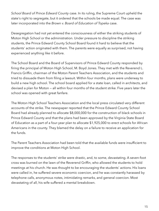*School Board of Prince Edward County* case. In its ruling, the Supreme Court upheld the state's right to segregate, but it ordered that the schools be made equal. The case was later incorporated into the *Brown v. Board of Education of Topeka* case.

Desegregation had not yet entered the consciousness of either the striking students of Moton High School or the administration. Under pressure to discipline the striking students, the Prince Edward County School Board found it hard to believe that the students' action originated with them. The parents were equally as surprised, not having experienced anything like it before.

The School Board and the Board of Supervisors of Prince Edward County responded by firing the principal of Moton High School, M. Boyd Jones. They met with the Reverend L. Francis Griffin, chairman of the Moton Parent Teachers Association, and the students and tried to dissuade them from filing a lawsuit. Within four months, plans were underway to build a new high school. The school board applied for a state loan, called in architects, and devised a plan for Moton — all within four months of the student strike. Five years later the school was opened with great fanfare.

The Moton High School Teachers Association and the local press circulated very different accounts of the strike. The newspaper reported that the Prince Edward County School Board had already planned to allocate \$8,000,000 for the construction of black schools in Prince Edward County and that the plans had been approved by the Virginia State Board of Education as a part of a four-year plan to allocate \$1,925,000 to erect schools for African Americans in the county. They blamed the delay on a failure to receive an application for the funds.

The Parent Teachers Association had been told that the available funds were insufficient to improve the conditions at Moton High School.

The responses to the students' strike were drastic, and, to some, devastating. A seven-foot cross was burned on the lawn of the Reverend Griffin, who allowed the students to hold meetings at his church. He was thought to be encouraging the students' actions. His loans were called in, he suffered severe economic coercion, and he was constantly harassed by telephone calls, anonymous notes, intimidating remarks, and general coercion. Most devastating of all, his wife suffered a mental breakdown.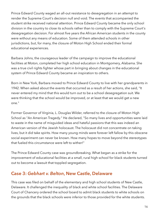Prince Edward County waged an all-out resistance to desegregation in an attempt to render the Supreme Court's decision null and void. The events that accompanied the student strike received national attention. Prince Edward County became the only school division in the country to close its schools rather than to comply with the Supreme Court's desegregation decision. For almost five years the African American students in the county were without any means of education. Some of them attended schools in other jurisdictions, but, for many, the closure of Moton High School ended their formal educational experiences.

Barbara Johns, the courageous leader of the campaign to improve the educational facilities at Moton, completed her high school education in Montgomery, Alabama. She was a true civil rights fighter whose part in bringing about changes in the educational system of Prince Edward County became an inspiration to others.

Born in New York, Barbara moved to Prince Edward County to live with her grandparents in 1942. When asked about the events that occurred as a result of her actions, she said, "It never entered my mind that this would turn out to be a school desegregation suit. We were thinking that the school would be improved, or at least that we would get a new one."

Former Governor of Virginia, L. Douglas Wilder, referred to the closure of Moton High School as "An American Tragedy." He declared, "So many lives and opportunities were laid to waste in the name of misguided ideas and hateful passions that this was indeed an American version of the Jewish holocaust. The holocaust did not concentrate on taking lives, but it did take spirits. How many young minds were forever left fallow by this obscene social experiment can never be known. How many hopes to move beyond the stereotypes that fueled this circumstance were left to wither!"

The Prince Edward County case was groundbreaking. What began as a strike for the improvement of educational facilities at a small, rural high school for black students turned out to become a lawsuit that toppled segregation.

#### <span id="page-15-0"></span>**Case 3:** *Gebhart v. Belton***, New Castle, Delaware**

This case was filed on behalf of the elementary and high school students of New Castle, Delaware. It challenged the inequality of black and white school facilities. The Delaware Court of Chancery ordered the school board to admit black students to white schools on the grounds that the black schools were inferior to those provided for the white students.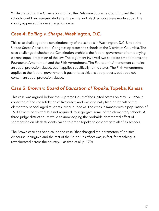While upholding the Chancellor's ruling, the Delaware Supreme Court implied that the schools could be resegregated after the white and black schools were made equal. The county appealed the desegregation order.

#### <span id="page-16-0"></span>**Case 4:** *Bolling v. Sharpe***, Washington, D.C.**

This case challenged the constitutionality of the schools in Washington, D.C. Under the United States Constitution, Congress operates the schools of the District of Columbia. The case challenged whether the Constitution prohibits the federal government from denying citizens equal protection of the law. The argument involved two separate amendments, the Fourteenth Amendment and the Fifth Amendment. The Fourteenth Amendment contains an equal protection clause, but it applies specifically to the states. The Fifth Amendment applies to the federal government. It guarantees citizens due process, but does not contain an equal protection clause.

#### <span id="page-16-1"></span>**Case 5:** *Brown v. Board of Education of Topeka,* **Topeka, Kansas**

This case was argued before the Supreme Court of the United States on May 17, 1954. It consisted of the consolidation of five cases, and was originally filed on behalf of the elementary-school-aged students living in Topeka. The cities in Kansas with a population of 15,000 were permitted, but not required, to segregate some of the elementary schools. A three-judge district court, while acknowledging the probable detrimental affect of segregation on black students, failed to order Topeka to desegregate all of its schools.

The Brown case has been called the case "that changed the parameters of political discourse in Virginia and the rest of the South." Its affect was, in fact, far-reaching. It reverberated across the country. (Lassiter, et al. p. 170)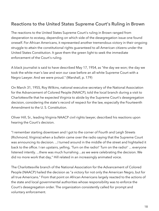### <span id="page-17-0"></span>**Reactions to the United States Supreme Court's Ruling in Brown**

The reactions to the United States Supreme Court's ruling in Brown ranged from desperation to ecstasy, depending on which side of the desegregation issue one found oneself. For African Americans, it represented another tremendous victory in their ongoing struggle to attain the constitutional rights guaranteed to all American citizens under the United States Constitution. It gave them the green light to seek the immediate enforcement of the Court's ruling.

A black journalist is said to have described May 17, 1954, as "the day we won; the day we took the white man's law and won our case before an all-white Supreme Court with a Negro Lawyer. And we were proud." (Marshall, p. 179)

On March 31, 1955, Roy Wilkins, national executive secretary of the National Association for the Advancement of Colored People (NAACP), told the local branch during a visit to Charlottesville that he expected Virginia to abide by the Supreme Court's desegregation decision, considering the state's record of respect for the law, especially the Fourteenth Amendment to the U. S. Constitution.

Oliver Hill, Sr., leading Virginia NAACP civil rights lawyer, described his reactions upon hearing the Court's decision.

"I remember starting downtown and I got to the corner of Fourth and Leigh Streets (Richmond, Virginia) when a bulletin came over the radio saying that the Supreme Court was announcing its decision. ...I turned around in the middle of the street and hightailed it back to the office. I ran upstairs, yelling, 'Turn on the radio!' Turn on the radio!' ... everyone listened intently. ...there was much hurrahing ...as we were celebrating the decision. We did no more work that day," Hill related in an increasingly animated voice.

The Charlottesville branch of the National Association for the Advancement of Colored People (NAACP) hailed the decision as "a victory for not only the American Negro, but for all true Americans." From that point on African Americans largely reacted to the actions of the state and local governmental authorities whose responsibility was to enforce the Court's desegregation order. The organization consistently called for prompt and voluntary enforcement.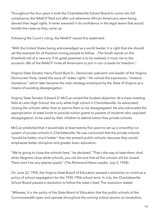Throughout the four years it took the Charlottesville School Board to come into full compliance, the NAACP filed suit after suit whenever African Americans were being denied their legal rights. It never wavered in its confidence in the legal teams that would handle the cases as they came up.

Following the Court's ruling, the NAACP issued this statement:

"With the United States being acknowledged as a world leader, it is right that she should set the example for all freedom-loving people to follow. ...The South stands on the threshold old of a new era. If its great potential is to be realized, it must rise to the occasion. We of the NAACP invite all Americans to join in our crusade for freedom."

Virginia State Senator Harry Flood Byrd Sr., Democratic patriarch and leader of the Virginia Democratic Party, raised the issue of "states rights." He coined the expression, "massive resistance," which later became the main strategy employed by the State of Virginia as a means of avoiding desegregation.

Virginia State Senator Edward O. McCue voiced the loudest objection. At a mass meeting held at Lane High School, the only white high school in Charlottesville, he advocated closing the schools rather than to permit them to be desegregated. He also advocated the appropriation of state funds to provide tuition grants to parents of students who opposed desegregation, to be used by their children to attend tuition-free private schools.

McCue predicted that it would take at least twenty-five years to set up a smoothly-run system of private schools in Charlottesville. He was convinced that the private schools "would be better, much better" than the present public schools, because they would emphasize better discipline and greater basic education.

"We're going to close the schools here," he declared. "That's the way to beat them. And when Negroes close white schools, you can be sure that all the schools will be closed. There won't be any salaries (paid)." (The Richmond News Leader, July 2, 1958)

On June 22, 1955, the Virginia State Board of Education passed a resolution to continue a policy of school segregation for the 1955-1956 school term. In July, the Charlottesville School Board passed a resolution to follow the state's lead. The resolution stated:

*"Whereas, It is the policy of the State Board of Education that the public schools of the Commonwealth open and operate throughout the coming school session as heretofore,*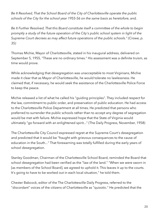*Be It Resolved, That the School Board of the City of Charlottesville operate the public schools of the City for the school year 1955-56 on the same basis as heretofore, and,* 

*Be It Further Resolved, That this Board constitute itself a committee of the whole to begin promptly a study of the future operation of the City's public school system in light of the Supreme Court decrees as may affect future operations of the public schools." (Crowe, p. 35)* 

Thomas Michie, Mayor of Charlottesville, stated in his inaugural address, delivered on September 5, 1955, "These are no ordinary times." His assessment was a definite truism, as time would prove.

While acknowledging that desegregation was unacceptable to most Virginians, Michie made it clear that as Mayor of Charlottesville, he would tolerate no lawlessness. He claimed that, if necessary, he would seek the assistance of the Charlottesville Police Force to keep the peace.

Michie released a list of what he called his "guiding principles". They included respect for the law, commitment to public order, and preservation of public education. He had access to the Charlottesville Police Department at all times. He predicted that persons who preferred to surrender the public schools rather than to accept any degree of segregation would be met with failure. Michie expressed hope that the State of Virginia would ultimately "go forward with an enlightened spirit..." (The Daily Progress, November, 1958)

The Charlottesville City Council expressed regret at the Supreme Court's desegregation and predicted that it would be "fraught with grievous consequences to the cause of education in the South..." That forewarning was totally fulfilled during the early years of school desegregation.

Stanley Goodman, Chairman of the Charlottesville School Board, reminded the Board that school desegregation had been verified as the "law of the land." "When we were sworn in [as members of the School Board], we agreed to uphold it. This leaves it up to the courts. It's going to have to be worked out in each local situation," he told them.

Chester Babcock, editor of the The Charlottesville Daily Progress, referred to the "discordant" voices of the citizens of Charlottesville as "quixotic." He predicted that the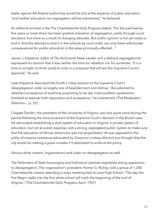battle against the federal authorities would be lost at the expense of public education, "and neither education nor segregation will be maintained," he believed.

An editorial printed in the The Charlottesville Daily Progress stated, "For the past twentyfive years or more there has been gradual relaxation of segregation, partly through court decisions, but more as a result of changing attitudes. But public opinion is not yet ready to end it. And the attempt to end it in the schools by court order can only have unfortunate consequences for public education in the areas principally affected..."

James J. Kilpatrick, editor of The Richmond News Leader and a diehard segregationist, expressed his opinion that it was neither the time for rebellion nor for surrender. "It is a time to sit tight, to think, [and] to unite in a proposal that will win the Supreme Court's approval," he said.

Later Kilpatrick described the South's initial reaction to the Supreme Court's desegregation order as largely one of bewilderment and dismay. "Accustomed to obedient acceptance of anything purporting to be law, most southern spokesmen fumbled to express both opposition and acceptance," he maintained. (The Moderate's Dilemma..., p. 53)

Colgate Darden, the president of the University of Virginia, was also quite vocal during the period following the announcement of the Supreme Court's decision in the Brown case. He advocated establishing a dual system of education in Virginia: a private system of education, but not at public expense, and a strong, segregated public system to make sure that the education of African Americans was not jeopardized. He was opposed to the polity of massive resistance advocated by Governor Lindsay Almond and thought that the city would be making a grave mistake if it attempted to enforce the policy.

Various white citizens' organizations took sides on desegregation as well.

The Defenders of State Sovereignty and Individual Liberties registered strong opposition to desegregation. The organization's president, Homer G. Richey, told a group of 1,200 Charlottesville citizens attending a mass meeting held at Lane High School, "The day the first Negro walks into the first white school will mark the beginning of the end of Virginia." (The Charlottesville Daily Progress, April, 1957)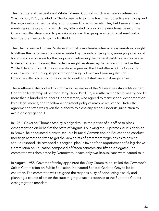The members of the Seaboard White Citizens' Council, which was headquartered in Washington, D. C., traveled to Charlottesville to join the fray. Their objective was to expand the organization's membership and to spread its racist beliefs. They held several mass meetings in the city during which they attempted to play on the emotional fears of the Charlottesville citizens and to provoke violence. The group was rapidly ushered out of town before they could gain a foothold.

The Charlottesville Human Relations Council, a moderate, interracial organization, sought to diffuse the negative atmosphere created by the radical groups by arranging a series of forums and discussions for the purpose of informing the general public on issues related to desegregation. Fearing that violence might be stirred up by radical groups like the White Citizens' Council, the organization requested the Charlottesville City Council to issue a resolution stating its position opposing violence and warning that the Charlottesville Police would be called to quell any disturbance that might arise.

The southern states looked to Virginia as the leader of the Massive Resistance Movement. Under the leadership of Senator Harry Flood Byrd, Sr., a southern manifesto was signed by more than a hundred southern Congressmen, who agreed to resist school desegregation by all legal means, and to follow a consistent polity of massive resistance. Under the agreement a state was given the authority to close any school under its jurisdiction to avoid desegregating it.

In 1954, Governor Thomas Stanley pledged to use the power of his office to block desegregation on behalf of the State of Virginia. Following the Supreme Court's decision in Brown, he announced plans to set up a bi-racial Commission on Education to conduct meetings across the state to get the viewpoints of grassroots Virginians as to how he should respond. He scrapped his original plan in favor of the appointment of a legislative Commission on Education composed of fifteen senators and fifteen delegates. The committee was dominated by Democrats. In fact, only two Republicans were named to it.

In August, 1955, Governor Stanley appointed the Gray Commission, called the Governor's Select Commission on Public Education. He named Senator Garland Gray to be its chairman. The committee was assigned the responsibility of conducting a study and planning a course of action the state might pursue in response to the Supreme Court's desegregation mandate.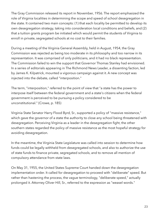The Gray Commission released its report in November, 1956. The report emphasized the role of Virginia localities in determining the scope and speed of school desegregation in the state. It contained two main concepts: (1) that each locality be permitted to develop its own desegregation strategy, taking into consideration local conditions and beliefs, and (2) that a tuition grants program be initiated which would permit the students of Virginia to enroll in private, segregated schools at no cost to their families.

During a meeting of the Virginia General Assembly, held in August, 1954, the Gray Commission was rejected as being too moderate in its philosophy and too narrow in its representation. It was comprised of only politicians, and it had no black representation. The Commission failed to win the support that Governor Thomas Stanley had envisioned. In a series of editorials appearing in The Richmond News Leader, a dissenting faction, led by James K. Kilpatrick, mounted a vigorous campaign against it. A new concept was injected into the debate, called "interposition."

The term, "interposition," referred to the point of view that "a state has the power to interpose itself between the federal government and a state's citizens when the federal government is perceived to be pursuing a policy considered to be unconstitutional." (Crowe, p. 185)

Virginia State Senator Harry Flood Byrd, Sr., supported a policy of "massive resistance," which gave the governor of a state the authority to close any school being threatened with desegregation. Perceiving Virginia as a leader in the desegregation fight, the other southern states regarded the policy of massive resistance as the most hopeful strategy for avoiding desegregation.

In the meantime, the Virginia State Legislature was called into session to determine how funds could be legally withheld from desegregated schools, and also to authorize the use of state funds to finance private, segregated schools, and to remove all mention of compulsory attendance from state laws.

On May 31, 1955, the United States Supreme Court handed down the desegregation implementation order. It called for desegregation to proceed with "deliberate" speed. But rather than hastening the process, the vague terminology, "deliberate speed," actually prolonged it. Attorney Oliver Hill, Sr., referred to the expression as "weasel words."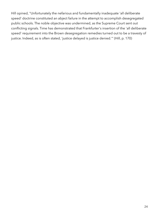Hill opined, "Unfortunately the nefarious and fundamentally inadequate 'all deliberate speed' doctrine constituted an abject failure in the attempt to accomplish desegregated public schools. The noble objective was undermined, as the Supreme Court sent out conflicting signals. Time has demonstrated that Frankfurter's insertion of the 'all deliberate speed' requirement into the Brown desegregation remedies turned out to be a travesty of justice. Indeed, as is often stated, 'justice delayed is justice denied.'" (Hill, p. 170)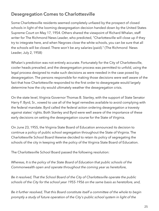# <span id="page-24-0"></span>**Desegregation Comes to Charlottesville**

Some Charlottesville residents seemed completely unfazed by the prospect of closed schools in light of the looming desegregation decision handed down by the United States Supreme Court on May 17, 1954. Others shared the viewpoint of Richard Whalan, staff writer for The Richmond News Leader, who predicted, "Charlottesville will close up if they try to integrate here, and when Negroes close the white schools, you can be sure that all the schools will be closed. There won't be any salaries (paid)." (The Richmond News Leader, July 2, 1958)

Whalan's prediction was not entirely accurate. Fortunately for the City of Charlottesville, cooler heads prevailed, and the desegregation process was permitted to unfold, using the legal process designed to make such decisions as were needed in the case posed by desegregation. The persons responsible for making those decisions were well aware of the fact that how Charlottesville responded to the first order to desegregate would largely determine how the city would ultimately weather the desegregation crisis.

On the state level, Virginia Governor Thomas B. Stanley, with the support of State Senator Harry F. Byrd, Sr., vowed to use all of the legal remedies available to avoid complying with the federal mandate. Byrd called the federal action ordering desegregation a travesty against states' rights. Both Stanley and Byrd were well aware of the importance of these early decisions on setting the desegregation course for the State of Virginia.

On June 23, 1955, the Virginia State Board of Education announced its decision to continue a policy of public school segregation throughout the State of Virginia. The Charlottesville School Board likewise decided to retain its policy of segregating the schools of the city in keeping with the policy of the Virginia State Board of Education.

The Charlottesville School Board passed the following resolution:

*Whereas, It is the policy of the State Board of Education that public schools of the Commonwealth open and operate throughout the coming year as heretofore,* 

*Be it resolved, That the School Board of the City of Charlottesville operate the public schools of the City for the school year 1955-1956 on the same basis as heretofore, and,* 

*Be it further resolved, That this Board constitute itself a committee of the whole to begin promptly a study of future operation of the City's public school system in light of the*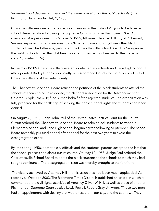*Supreme Court decrees as may affect the future operation of the public schools.* (The Richmond News Leader, July 2, 1955)

Charlottesville was one of the first school divisions in the State of Virginia to be faced with school desegregation following the Supreme Court's ruling in the *Brown v. Board of Education of Topeka* case. On October 6, 1955, Attorney Oliver W. Hill, Sr., of Richmond, Virginia, representing fourteen-year old Olivia Ferguson and forty-three other black students from Charlottesville, petitioned the Charlottesville School Board to "reorganize the public schools ... so that children may attend them without regard to their race or color." (Lassiter, p. 76)

In the mid-1950's Charlottesville operated six elementary schools and Lane High School. It also operated Burley High School jointly with Albemarle County for the black students of Charlottesville and Albemarle County.

The Charlottesville School Board refused the petitions of the black students to attend the schools of their choice. In response, the National Association for the Advancement of Colored People (NAACP) filed suit on behalf of the rejected students. The organization was fully prepared for the challenge of seeking the constitutional rights the students had been denied.

On August 6, 1956, Judge John Paul of the United States District Court for the Fourth Circuit ordered the Charlottesville School Board to admit black students to Venable Elementary School and Lane High School beginning the following September. The School Board feverishly pursued appeal after appeal for the next two years to avoid the desegregation order.

By late spring, 1958, both the city officials and the students' parents accepted the fact that the appeal process had about run its course. On May 10, 1958, Judge Paul ordered the Charlottesville School Board to admit the black students to the schools to which they had sought admittance. The desegregation issue was thereby brought to the forefront.

 The victory achieved by Attorney Hill and his associates had been much applauded. As recently as October, 2003, The Richmond Times Dispatch published an article in which it commended the civil rights activities of Attorney Oliver W. Hill, as well as those of another Richmonder, Supreme Court Justice Lewis Powell. Robert Gray, Jr. wrote, "These two men had an appointment with destiny that would test them, our city, and the country. ...They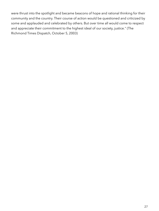were thrust into the spotlight and became beacons of hope and rational thinking for their community and the country. Their course of action would be questioned and criticized by some and applauded and celebrated by others. But over time all would come to respect and appreciate their commitment to the highest ideal of our society, justice." (The Richmond Times Dispatch, October 5, 2003)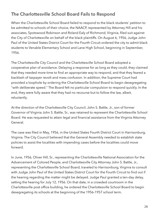# <span id="page-27-0"></span>**The Charlottesville School Board Fails to Respond**

When the Charlottesville School Board failed to respond to the black students' petition to be admitted to schools of their choice, the NAACP, represented by Attorney Hill and his associates, Spotswood Robinson and Roland Ealy of Richmond, Virginia, filed suit against the City of Charlottesville on behalf of the black plaintiffs. On August 6, 1956, Judge John Paul of the United States District Court for the Fourth Circuit ordered the city to admit black students to Venable Elementary School and Lane High School, beginning in September, 1956.

The Charlottesville City Council and the Charlottesville School Board adopted a cooperative plan of avoidance. Delaying a response for as long as they could, they claimed that they needed more time to find an appropriate way to respond, and that they feared a backlash of taxpayer revolt and mass confusion. In addition, the Supreme Court had provided a loophole by ordering the Charlottesville School Board to begin desegregating "with deliberate speed." The Board felt no particular compulsion to respond quickly. In the end, they were fully aware that they had no recourse but to follow the law, albeit, reluctantly.

At the direction of the Charlottesville City Council, John S. Battle, Jr., son of former Governor of Virginia John S. Battle, Sr., was retained to represent the Charlottesville School Board. He was requested to attain legal and financial assistance from the Virginia Attorney General.

The case was filed in May, 1956, in the United States Fourth District Court in Harrisonburg, Virginia. The City Council believed that the General Assembly needed to establish state policies to assist the localities with impending cases before the localities could move forward.

In June, 1956, Oliver Hill, Sr., representing the Charlottesville National Association for the Advancement of Colored People, and Charlottesville City Attorney John S. Battle, Jr., representing the Charlottesville School Board, traveled to Harrisonburg, Virginia to consult with Judge John Paul of the United States District Court for the Fourth Circuit to find out if the hearing regarding the matter might be delayed. Judge Paul granted a ten-day delay, setting the hearing for July 12, 1956. On that date, in a crowded courtroom in the Charlottesville post office building, he ordered the Charlottesville School Board to begin desegregating its schools at the beginning of the 1956-1957 school term.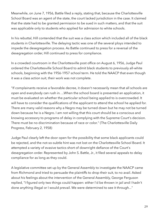Meanwhile, on June 7, 1956, Battle filed a reply, stating that, because the Charlottesville School Board was an agent of the state, the court lacked jurisdiction in the case. It claimed that the state had to be granted permission to be sued in such matters, and that the suit was applicable only to students who applied for admission to white schools.

In his rebuttal, Hill contended that the suit was a class action which included all of the black students in Charlottesville. The delaying tactic was one of the several ploys intended to impede the desegregation process. As Battle continued to press for a reversal of the desegregation order, Hill continued to press for compliance.

In a crowded courtroom in the Charlottesville post office on August 6, 1956, Judge Paul ordered the Charlottesville School Board to admit black students to previously all-white schools, beginning with the 1956-1957 school term. He told the NAACP that even though it was a class action suit, their work was not complete.

"If complainants receive a favorable decree, it doesn't necessarily mean that all schools are open and everybody can rush in. ...When the school board is presented an application, it must be evaluated on whether the particular school being applied to is overcrowded. It will have to consider the qualifications of the applicant to attend the school he applied for. There are many valid reasons why a Negro may be turned down but he may not be turned down because he is a Negro. I am not willing that this court should be a conscious and knowing accessory to programs of delay in complying with the Supreme Court's decision. There must be no discrimination because of race or color." (The Charlottesville Daily Progress, February 2, 1958)

Judge Paul clearly left the door open for the possibility that some black applicants could be rejected, and the not-so-subtle hint was not lost on the Charlottesville School Board. It attempted a variety of evasive tactics short of downright defiance of the Court's desegregation order. Represented by John S. Battle, Jr., it filed several appeals to delay compliance for as long as they could.

A legislative committee set up by the General Assembly to investigate the NAACP came from Richmond and tried to persuade the plaintiffs to drop their suit, to no avail. Asked about his feelings about the intervention of the General Assembly, George Ferguson replied, "I figured only two things could happen: either I'd be thrown in jail and I hadn't done anything illegal or I would prevail. We were determined to see it through..."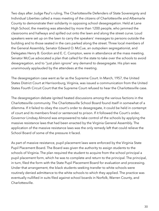Two days after Judge Paul's ruling, The Charlottesville Defenders of State Sovereignty and Individual Liberties called a mass meeting of the citizens of Charlottesville and Albemarle County to demonstrate their solidarity in opposing school desegregation. Held at Lane High School, the meeting was attended by more than 1200 people, who jammed the classrooms and hallways and spilled out onto the lawn and along the street curve. Loud speakers were set up on the lawn to carry the speakers' messages to persons outside the building and to those seated in the cars parked along the street. Three local members of the General Assembly, Senator Edward O. McCue, an outspoken segregationist, and Delegates Henry B. Gordon and E. C. Compton, were in attendance at the mass meeting. Senator McCue advocated a plan that called for the state to take over the schools to avoid desegregation, and to "just plain ignore" any demand to desegregate. His plan was unanimously applauded by the attendees at the meeting.

The desegregation case went as far as the Supreme Court. In March, 1957, the United States District Court at Harrisonburg, Virginia, was issued a communication from the United States Fourth Circuit Court that the Supreme Court refused to hear the Charlottesville case.

The desegregation debate ignited heated discussions among the various factions in the Charlottesville community. The Charlottesville School Board found itself in somewhat of a dilemma. If it failed to obey the court's order to desegregate, it could be held in contempt of court and its members fined or sentenced to prison. If it followed the Court's order, Governor Lindsay Almond was empowered to take control of the schools by applying the massive resistance laws that had been enacted by the Virginia General Assembly. The application of the massive resistance laws was the only remedy left that could relieve the School Board of some of the pressure it faced.

As part of massive resistance, pupil placement laws were enforced by the Virginia State Pupil Placement Board. The Board was given the authority to assign students to the schools of Virginia. The plan required the student to acquire from the school principal a pupil placement form, which he was to complete and return to the principal. The principal, in turn, filed the form with the State Pupil Placement Board for evaluation and processing. Under that arrangement, the black students seeking transfer to white schools were routinely denied admittance to the white schools to which they applied. The practice was eventually nullified in suits filed against school boards in Norfolk, Warren County, and Charlottesville.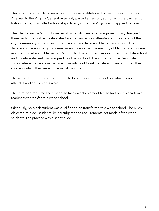The pupil placement laws were ruled to be unconstitutional by the Virginia Supreme Court. Afterwards, the Virginia General Assembly passed a new bill, authorizing the payment of tuition grants, now called scholarships, to any student in Virginia who applied for one.

The Charlottesville School Board established its own pupil assignment plan, designed in three parts. The first part established elementary school attendance zones for all of the city's elementary schools, including the all-black Jefferson Elementary School. The Jefferson zone was gerrymandered in such a way that the majority of black students were assigned to Jefferson Elementary School. No black student was assigned to a white school, and no white student was assigned to a black school. The students in the designated zones, where they were in the racial minority could seek transferal to any school of their choice in which they were in the racial majority.

The second part required the student to be interviewed — to find out what his social attitudes and adjustments were.

The third part required the student to take an achievement test to find out his academic readiness to transfer to a white school.

Obviously, no black student was qualified to be transferred to a white school. The NAACP objected to black students' being subjected to requirements not made of the white students. The practice was discontinued.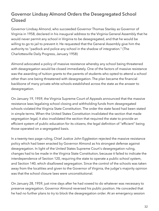# <span id="page-31-0"></span>**Governor Lindsay Almond Orders the Desegregated School Closed**

Governor Lindsay Almond, who succeeded Governor Thomas Stanley as Governor of Virginia in 1958, declared in his inaugural address to the Virginia General Assembly that he would never permit any school in Virginia to be desegregated, and that he would be willing to go to jail to prevent it. He requested that the General Assembly give him the authority to "padlock and police any school in the shadow of integration." (The Charlottesville Daily Progress, January 1958)

Almond advocated a policy of massive resistance whereby any school being threatened with desegregation would be closed immediately. One of the factors of massive resistance was the awarding of tuition grants to the parents of students who opted to attend a school other than one being threatened with desegregation. The plan became the financial backbone of many private white schools established across the state as the answer to desegregation.

On January 19, 1959, the Virginia Supreme Court of Appeals announced that the massive resistance laws legalizing school closing and withholding funds from desegregated schools violated the Virginia State Constitution. The order the state faced had been stated in simple terms. When the United States Constitution invalidated the section that made segregation legal, it also invalidated the section that required the state to provide an efficient system of public education for its citizens, the legal definition of "efficient" being those operated on a segregated basis.

In a twenty-two page ruling, Chief Justice John Eggleston rejected the massive resistance policy which had been enacted by Governor Almond as his strongest defense against desegregation. In light of the United States Supreme Court's desegregation ruling, changes had to be made in the Virginia State Constitution, because it failed to indicate the interdependence of Section 120, requiring the state to operate a public school system, and Section 140, which disallowed segregation. Since the control of the schools was taken away from the localities and given to the Governor of Virginia, the judge's majority opinion was that the school closure laws were unconstitutional.

On January 28, 1959, just nine days after he had vowed to do whatever was necessary to preserve segregation, Governor Almond reversed his public position. He conceded that he had no further plans to try to block the desegregation order. At an emergency session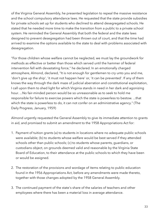of the Virginia General Assembly, he presented legislation to repeal the massive resistance and the school compulsory attendance laws. He requested that the state provide subsidies for private schools set up for students who declined to attend desegregated schools. He stated that he needed more time to make the transition from a public to a private school system. He reminded the General Assembly that both the federal and the state laws designed to prevent desegregation had been thrown out of court, and that the time had arrived to examine the options available to the state to deal with problems associated with desegregation.

"For those children whose welfare cannot be neglected, we must lay the groundwork for methods as effective or better than those which served until the hammer of federal intervention fell with devastating force," he declared. In an emotionally charged atmosphere, Almond, declared, "It is not enough for gentlemen to cry unto you and me, 'don't give up the ship', 'it must not happen here' or, 'it can be prevented'. If any of them knows the way through the dark maze of judicial aberration and constitutional exploitation, I call upon them to shed light for which Virginia stands in need in her dark and agonizing hour. ...No fair-minded person would be so unreasonable as to seek to hold me responsible for failure to exercise powers which the state is powerless to bestow. ...that which the state is powerless to do, it can not confer on an administrative agency." (The Daily Progress, January, 1959)

Almond urgently requested the General Assembly to give its immediate attention to grants in aid, and promised to submit an amendment to the 1958 Appropriations Act for:

- 1. Payment of tuition grants (a) to students in locations where no adequate public schools were available; (b) to students whose welfare would be best served if they attended schools other than public schools; (c) to students whose parents, guardians, or custodians object, on grounds deemed valid and reasonable by the Virginia State Board of Education, to their attendance at the public schools to which they have been or would be assigned.
- 2. The restoration of the provisions and wordage of items relating to public education found in the 1956 Appropriations Act, before any amendments were made thereto, together with those changes adopted by the 1958 General Assembly.
- 3. The continued payment of the state's share of the salaries of teachers and other employees where there has been a material loss in average attendance.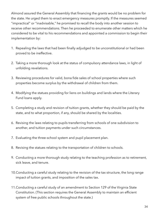Almond assured the General Assembly that financing the grants would be no problem for the state. He urged them to enact emergency measures promptly. If the measures seemed "impractical" or "inadvisable," he promised to recall the body into another session to receive other recommendations. Then he proceeded to enumerate other matters which he considered to be vital to his recommendations and appointed a commission to begin their implementation by:

- 1. Repealing the laws that had been finally adjudged to be unconstitutional or had been proved to be ineffective.
- 2. Taking a more thorough look at the status of compulsory attendance laws, in light of unfolding revelations.
- 3. Reviewing procedures for valid, bona fide sales of school properties where such properties become surplus by the withdrawal of children from them.
- 4. Modifying the statues providing for liens on buildings and lands where the Literary Fund loans apply.
- 5. Completing a study and revision of tuition grants, whether they should be paid by the state, and to what proportion, if any, should be shared by the localities.
- 6. Revising the laws relating to pupils transferring from schools of one subdivision to another, and tuition payments under such circumstances.
- 7. Evaluating the three-school system and pupil placement plan.
- 8. Revising the statues relating to the transportation of children to schools.
- 9. Conducting a more thorough study relating to the teaching profession as to retirement, sick leave, and tenure.
- 10.Conducting a careful study relating to the revision of the tax structure, the long range impact of tuition grants, and imposition of the sales tax.
- 11.Conducting a careful study of an amendment to Section 129 of the Virginia State Constitution. (This section requires the General Assembly to maintain an efficient system of free public schools throughout the state.)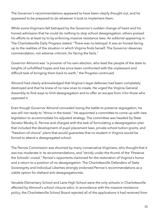The Governor's recommendations appeared to have been clearly thought out, and he appeared to be prepared to do whatever it took to implement them.

While some Virginians felt betrayed by the Governor's sudden change of heart and his honest admission that he could do nothing to stop school desegregation, others praised his efforts to at least try to by enforcing massive resistance laws. An editorial appearing in The Charlottesville Daily Progress stated, "There was no betrayal. It was an honest facing up to the realities of the situation in which Virginia finds herself. The Governor deserves commendation, not adverse criticism, for facing the facts."

Governor Almond was "a prisoner of his own election, who lead the people of the state to heights of unfulfilled hopes and has since been confronted with the unpleasant and difficult task of bringing them back to earth," the Progress continued.

Almond had clearly acknowledged that Virginia's legal defenses had been completely destroyed and that he knew of no new ones to create. He urged the Virginia General Assembly to find ways to limit desegregation and to offer an escape from it for those who opposed it.

Even though Governor Almond conceded losing the battle to preserve segregation, he was still not ready to "throw in the towel." He appointed a committee to come up with new legislation to accommodate his adjusted strategy. The committee was headed by State Senator Mosby G. Perrow and charged with the task of formulating a desegregation plan that included the development of pupil placement laws, private school tuition grants, and "freedom-of-choice" plans that would guarantee that no student in Virginia would be forced to attend a desegregated school.

The Perrow Commission was shunned by many conservative Virginians, who thought that it was too moderate in its recommendations, and "strictly under the thumb of the 'Preserve the Schools' crowd." Perrow's opponents clamored for the restoration of Virginia's honor and a return to a position of no desegregation. The Charlottesville Defenders of State Sovereignty and Individual Liberties strongly endorsed Perrow's recommendations as a viable option for diehard anti-desegregationists.

Venable Elementary School and Lane High School were the only schools in Charlottesville affected by Almond's school closure edict. In accordance with the massive resistance policy, the Charlottesville School Board rejected all of the applications it had received from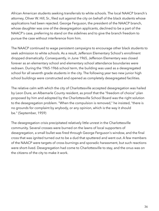African American students seeking transferrals to white schools. The local NAACP branch's attorney, Oliver W. Hill, Sr., filed suit against the city on behalf of the black students whose applications had been rejected. George Ferguson, the president of the NAACP branch, whose daughter was one of the desegregation applicants, declined to be a part of the NAACP's case, preferring to stand on the sidelines and to give the branch freedom to pursue the case without interference from him.

The NAACP continued to wage persistent campaigns to encourage other black students to seek admission to white schools. As a result, Jefferson Elementary School's enrollment dropped dramatically. Consequently, in June 1965, Jefferson Elementary was closed forever as an elementary school and elementary school attendance boundaries were redrawn. During the 1965-1966 school term, the building was used as a desegregated school for all seventh grade students in the city. The following year two new junior high school buildings were constructed and opened as completely desegregated facilities.

The relative calm with which the city of Charlottesville accepted desegregation was hailed by Leon Dure, an Albemarle County resident, as proof that the "freedom of choice" plan proposed by him and adopted by the Charlottesville School Board was the right solution to the desegregation problem. "When the compulsion is removed," he insisted, "there is no grounds for complaint by anybody, or any opinion, which is the way it should be." (September, 1959)

The desegregation crisis precipitated relatively little unrest in the Charlottesville community. Several crosses were burned on the lawns of local supporters of desegregation, a small bullet was fired through George Ferguson's window, and the final cross that was ignited turned out to be a dud that sputtered and went out. A few members of the NAACP were targets of cross-burnings and sporadic harassment, but such reactions were short-lived. Desegregation had come to Charlottesville to stay, and the onus was on the citizens of the city to make it work.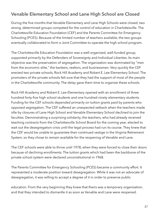# **Venable Elementary School and Lane High School are Closed**

During the five months that Venable Elementary and Lane High Schools were closed, two strong, determined groups competed for the control of education in Charlottesville: The Charlottesville Education Foundation (CEF) and the Parents Committee for Emergency Schooling (PCES). Because of the limited number of teachers available, the two groups eventually collaborated to form a Joint Committee to operate the high school program.

The Charlottesville Education Foundation was a well-organized, well-funded group, supported primarily by the Defenders of Sovereignty and Individual Liberties. Its main objective was the preservation of segregation. The organization was dominated by "men from the economic elite," the bankers, realtors, and businessmen. Very quickly the CEF erected two private schools, Rock Hill Academy and Robert E. Lee Elementary School. The promoters of the private schools felt sure that they had the support of most of the people in the Charlottesville community. The delay gave them time to organize these schools.

Rock Hill Academy and Robert E. Lee Elementary opened with an enrollment of three hundred forty-five high school students and one hundred ninety elementary students. Funding for the CEF schools depended primarily on tuition grants paid by parents who opposed segregation. The CEF suffered an unexpected setback when the teachers made idle by closures of Lane High School and Venable Elementary School declined to join the faculties. Demonstrating a surprising solidarity, the teachers, who had already received teaching contracts from the Charlottesville School Board for the coming year, elected to wait out the desegregation crisis until the legal process had run its course. They knew that the CEF would be unable to guarantee their continued vestige in the Virginia Retirement System, so they chose to remain available for the reopening of Venable and Lane.

The CEF schools were able to thrive until 1978, when they were forced to close their doors because of declining enrollments. The tuition grants which had been the backbone of the private school system were declared unconstitutional in 1968.

The Parents Committee for Emergency Schooling (PCES) became a community effort. It represented a moderate position toward desegregation. While it was not an advocate of desegregation, it was willing to accept a degree of it in order to preserve public

education. From the very beginning they knew that theirs was a temporary organization, and that they intended to dismantle it as soon as Venable and Lane were reopened.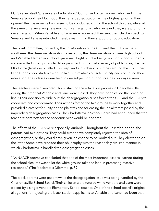PCES called itself "preservers of education." Comprised of ten women who lived in the Venable School neighborhood, they regarded education as their highest priority. They opened their basements for classes to be conducted during the school closures, while, at the same time, receiving hate mail from segregationist who believed they were promoting desegregation. When Venable and Lane were reopened, they sent their children back to Venable and Lane as intended, thereby reaffirming their support for public education.

The Joint committee, formed by the collaboration of the CEF and the PCES, actually weathered the desegregation storm created by the desegregation of Lane High School and Venable Elementary School quite well. Eight hundred sixty-two high school students were enrolled in temporary facilities provided for them at a variety of public sites, like the Elks Home (facetiously called Elks Prep) and a number of churches around the city. Other Lane High School students went to live with relatives outside the city and continued their education. Their classes were held in one subject for four hours a day, six days a week.

The teachers were given credit for sustaining the education process in Charlottesville during the time that Venable and Lane were closed. They have been called the "dividing line." Their decision to "ride out" the desegregation crises forced the CEF and the PCES to cooperate and compromise. Their actions forced the two groups to work together and provided a catalyst for unifying the plaintiffs and for easing the initial threat posed by the impending desegregation cases. The Charlottesville School Board had announced that the teachers' contracts for the academic year would be honored.

The efforts of the PCES were especially laudable. Throughout the unsettled period, the parents had two options: They could either have completely rejected the idea of desegregation, or they could have given it a chance to be worked out. They elected to do the latter. Some have credited their philosophy with the reasonably civilized manner in which Charlottesville handled the desegregation crises.

"An NAACP operative concluded that one of the most important lessons learned during the school closures was to let the white groups take the lead in protesting massive resistance." (The Moderate's Dilemma, p. 89)

The black parents were patient while the desegregation issue was being handled by the Charlottesville School Board. Their children were tutored while Venable and Lane were closed by a single Venable Elementary School teacher. One of the school board's original allegations for rejecting the black student applicants to Venable and Lane had been that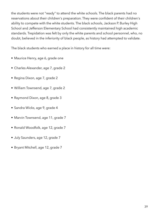the students were not "ready" to attend the white schools. The black parents had no reservations about their children's preparation. They were confident of their children's ability to compete with the white students. The black schools, Jackson P. Burley High School and Jefferson Elementary School had consistently maintained high academic standards. Trepidation was felt by only the white parents and school personnel, who, no doubt, believed in the inferiority of black people, as history had attempted to validate.

The black students who earned a place in history for all time were:

- Maurice Henry, age 6, grade one
- Charles Alexander, age 7, grade 2
- Regina Dixon, age 7, grade 2
- William Townsend, age 7, grade 2
- Raymond Dixon, age 8, grade 3
- Sandra Wicks, age 9, grade 4
- Marvin Townsend, age 11, grade 7
- Ronald Woodfolk, age 12, grade 7
- July Saunders, age 12, grade 7
- Bryant Mitchell, age 12, grade 7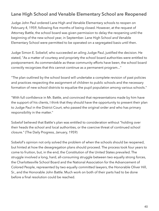## **Lane High School and Venable Elementary School are Reopened**

Judge John Paul ordered Lane High and Venable Elementary schools to reopen on February 4, 1959, following five months of being closed. However, at the request of Attorney Battle, the school board was given permission to delay the reopening until the beginning of the new school year, in September. Lane High School and Venable Elementary School were permitted to be operated on a segregated basis until then.

Judge Simon E. Sobelof, who succeeded an ailing Judge Paul, justified the decision. He stated, "As a matter of courtesy and propriety the school board authorities were entitled to postponement. As commendable as these community efforts have been, the school board correctly recognizes that this cannot continue as a permanent program..."

"The plan outlined by the school board will undertake a complete revision of past policies and practices respecting the assignment of children to public schools and the necessary formation of new school districts to equalize the pupil population among various schools."

"With full confidence in Mr. Battle, and convinced that representations made by him have the support of his clients, I think that they should have the opportunity to present their plan to Judge Paul in the District Court, who passed the original order and who has primary responsibility in the matter."

Sobelof believed that Battle's plan was entitled to consideration without "holding over their heads the school and local authorities, or the coercive threat of continued school closure." (The Daily Progress, January, 1959)

Sobelof's opinion not only solved the problem of when the schools should be reopened, but hinted at how the desegregation plans should proceed. The process took four years to come to fruition, but, in the end, the Constitution of the United States prevailed. The struggle involved a long, hard, all-consuming struggle between two equally strong forces, the Charlottesville School Board and the National Association for the Advancement of Colored People, represented by two equally committed lawyers, the Honorable Oliver Hill, Sr., and the Honorable John Battle. Much work on both of their parts had to be done before a final resolution could be reached.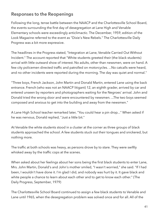### **Responses to the Reopenings**

Following the long, tense battle between the NAACP and the Charlottesville School Board, the events surrounding the first day of desegregation at Lane High and Venable Elementary schools were exceedingly anticlimactic. The December, 1959, edition of the Look Magazine referred to the event as "Dixie's New Rebels." The Charlottesville Daily Progress was a bit more expressive.

The headlines in the Progress stated, "Integration at Lane, Venable Carried Out Without Incident." The account reported that "White students greeted their (the black students) arrival with little outward show of interest. No adults, other than newsmen, were on hand. A few city policemen directed traffic and patrolled on motorcycles. ...No catcalls were heard, and no other incidents were reported during the morning. The day was quiet and normal."

"Three boys, French Jackson, John Martin and Donald Martin, entered Lane using the back entrance. French (who was not an NAACP litigant) 12, an eighth grader, arrived by car and entered unseen by reporters and photographers waiting for the Negroes' arrival. John and Donald tried the wrong door and were encountered by newsmen. ...The two boys seemed composed and anxious to get into the building and away from the newsmen."

A Lane High School teacher remarked later, "You could hear a pin drop..." When asked if he was nervous, Donald replied, "Just a little bit."

At Venable the white students stood in a cluster at the corner as three groups of black students approached the school. A few students stuck out their tongues and snickered, but nothing more.

The traffic at both schools was heavy, as persons drove by to stare. They were swiftly whisked away by the traffic cops at the scenes.

When asked about her feelings about her sons being the first black students to enter Lane, Mrs. John Martin, Donald's and John's mother smiled, "I wasn't worried," she said. "If I had been, I wouldn't have done it. I'm glad I did, and nobody was hurt by it. It gave black and white people a chance to learn about each other and to get to know each other." (The Daily Progress, September, 1979)

The Charlottesville School Board continued to assign a few black students to Venable and Lane until 1965, when the desegregation problem was solved once and for all. All of the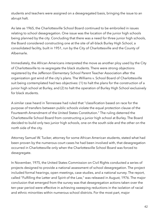students and teachers were assigned on a desegregated basis, bringing the issue to an abrupt halt.

As late as 1965, the Charlottesville School Board continued to be embroiled in issues relating to school desegregation. One issue was the location of the junior high schools being planned by the city. Concluding that there was a need for three junior high schools, the Board considered constructing one at the site of all-black Burley High School, a consolidated facility, built in 1951, run by the City of Charlottesville and the County of Albemarle.

Immediately, the African Americans interpreted the move as another ploy used by the City of Charlottesville to re-segregate the black students. There were strong objections registered by the Jefferson Elementary School Parent Teacher Association after the organization got wind of the city's plans. The Williams v. School Board of Charlottesville suit being contemplated had two objectives: (1) to halt the plans for the construction of a junior high school at Burley, and (2) to halt the operation of Burley High School exclusively for black students.

A similar case heard in Tennessee had ruled that "classification based on race for the purpose of transfers between public schools violate the equal protection clause of the Fourteenth Amendment of the United States Constitution." The ruling deterred the Charlottesville School Board from constructing a junior high school at Burley. The Board decided to build only two junior high schools, one on the south side and the other on the north side of the city.

Attorney Samuel W. Tucker, attorney for some African American students, stated what had been proven by the numerous court cases he had been involved with, that desegregation occurred in Charlottesville only when the Charlottesville School Board was forced to desegregate.

In November, 1975, the United States Commission on Civil Rights conducted a series of projects designed to provide a national assessment of school desegregation. The project included formal hearings, open meetings, case studies, and a national survey. The report, called "Fulfilling the Letter and Spirit of the Law," was released in August, 1976. The major conclusion that emerged from the survey was that desegregation actions taken over the ten-year period were effective in achieving sweeping reductions in the isolation of racial and ethnic minorities within numerous school districts. For the most part, major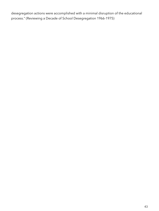desegregation actions were accomplished with a minimal disruption of the educational process." (Reviewing a Decade of School Desegregation 1966-1975)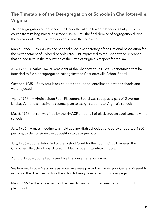# **The Timetable of the Desegregation of Schools in Charlottesville, Virginia**

The desegregation of the schools in Charlottesville followed a laborious but persistent course from its beginning in October, 1955, until the final demise of segregation during the summer of 1965. The major events were the following:

March, 1955 — Roy Wilkins, the national executive secretary of the National Association for the Advancement of Colored people (NAACP), expressed to the Charlottesville branch that he had faith in the reputation of the State of Virginia's respect for the law.

July, 1955 — Charles Fowler, president of the Charlottesville NAACP, announced that he intended to file a desegregation suit against the Charlottesville School Board.

October, 1955 — Forty-four black students applied for enrollment in white schools and were rejected.

 April, 1956 — A Virginia State Pupil Placement Board was set up as a part of Governor Lindsay Almond's massive resistance plan to assign students to Virginia's schools.

May 6, 1956 — A suit was filed by the NAACP on behalf of black student applicants to white schools.

July, 1956 — A mass meeting was held at Lane High School, attended by a reported 1200 persons, to demonstrate the opposition to desegregation.

July, 1956 — Judge John Paul of the District Court for the Fourth Circuit ordered the Charlottesville School Board to admit black students to white schools.

August, 1956 — Judge Paul issued his final desegregation order.

September, 1956 — Massive resistance laws were passed by the Virginia General Assembly, including the directive to close the schools being threatened with desegregation.

March, 1957 — The Supreme Court refused to hear any more cases regarding pupil placement.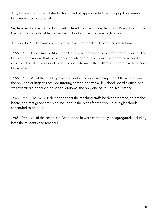July, 1957 — The United States District Court of Appeals ruled that the pupil placement laws were unconstitutional.

September, 1958 — Judge John Paul ordered the Charlottesville School Board to admit ten black students to Venable Elementary School and two to Lane High School.

January, 1959 — The massive resistance laws were declared to be unconstitutional.

1958-1959 — Leon Dure of Albemarle County pitched his plan of Freedom-of-Choice. The basis of the plan was that the schools, private and public, would be operated at public expense. The plan was found to be unconstitutional in the Dillard v. Charlottesville School Board case.

1958-1959 — All of the black applicants to white schools were rejected. Olivia Ferguson, the only senior litigant, received tutoring at the Charlottesville School Board's office, and was awarded a generic high school diploma, the only one of its kind in existence.

1963-1964 — The NAACP demanded that the teaching staffs be desegregated, across the board, and that grade seven be included in the plans for the two junior high schools scheduled to be built.

1965-1966 — All of the schools in Charlottesville were completely desegregated, including both the students and teachers.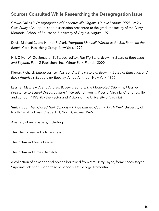### **Sources Consulted While Researching the Desegregation Issue**

Crowe, Dallas R. *Desegregation of Charlottesville Virginia's Public Schools 1954-1969: A Case Study*. (An unpublished dissertation presented to the graduate faculty of the Curry Memorial School of Education, University of Virginia, August, 1971.)

Davis, Michael D. and Hunter R. Clark. *Thurgood Marshall, Warrior at the Bar, Rebel on the Bench*. Carol Publishing Group, New York, 1992.

Hill, Oliver W., Sr., Jonathan K. Stubbs, editor, *The Big Bang: Brown vs Board of Education and Beyond.* Four-G Publishers, Inc., Winter Park, Florida, 2000

Klugar, Richard. *Simple Justice, Vols. I and II, The History of Brown v. Board of Education and Black America's Struggle for Equality.* Alfred A. Knopf, New York, 1975.

Lassiter, Matthew D. and Andrew B. Lewis, editors. *The Moderates' Dilemma, Massive Resistance to School Desegregation in Virginia.* University Press of Virginia, Charlottesville and London, 1998. (By the Rector and Visitors of the University of Virginia)

Smith, Bob. *They Closed Their Schools — Prince Edward County, 1951-1964.* University of North Carolina Press, Chapel Hill, North Carolina, 1965.

A variety of newspapers, including:

The Charlottesville Daily Progress

The Richmond News Leader

The Richmond Times Dispatch

A collection of newspaper clippings borrowed from Mrs. Betty Payne, former secretary to Superintendent of Charlottesville Schools, Dr. George Tramontin.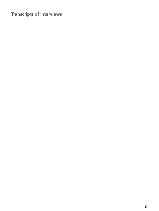# **Transcripts of Interviews**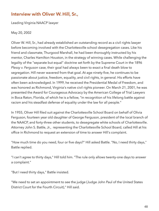### **Interview with Oliver W. Hill, Sr.,**

Leading Virginia NAACP lawyer

May 20, 2002

Oliver W. Hill, Sr., had already established an outstanding record as a civil rights lawyer before becoming involved with the Charlottesville school desegregation cases. Like his friend and classmate, Thurgood Marshall, he had been thoroughly instructed by his mentor, Charles Hamilton Houston, in the strategy of winning cases. While challenging the legality of the "separate but equal" doctrine set forth by the Supreme Court in the 1896 *Plessy v. Ferguson* case, their goal had always been to exact a final death blow to segregation. Hill never wavered from that goal. At age ninety-five, he continues to be passionate about justice, freedom, equality, and civil rights, in general. His efforts have often been acknowledged. In 1999, he received the Presidential Medal of Freedom, and was honored as Richmond, Virginia's native civil rights pioneer. On March 21, 2001, he was presented the Award for Courageous Advocacy by the American College of Trial Lawyers in Boca Raton, Florida, of which he is a fellow, "in recognition of his lifelong battle against racism and his steadfast defense of equality under the law for all people."

In 1955, Oliver Hill filed suit against the Charlottesville School Board on behalf of Olivia Ferguson, fourteen year old daughter of George Ferguson, president of the local branch of the NAACP, and forty-three other students, to desegregate white schools of Charlottesville. Attorney John S. Battle, Jr., representing the Charlottesville School Board, called Hill at his office in Richmond to request an extension of time to answer Hill's complaint.

"How much time do you need, four or five days?" Hill asked Battle. "No, I need thirty days," Battle replied.

"I can't agree to thirty days," Hill told him. "The rule only allows twenty-one days to answer a complaint."

"But I need thirty days," Battle insisted.

"We need to set an appointment to see the judge (Judge John Paul of the United States District Court for the Fourth Circuit)," Hill said.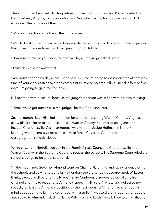The appointment was set. Hill, his partner, Spotswood Robinson, and Battle traveled to Harrisonburg, Virginia, to the judge's office. Since he was the first person to enter, Hill explained the purpose of their visit.

"What can I do for you fellows," the judge asked.

"We filed suit in Charlottesville to desegregate the schools, and Governor Battle requested that I give him more time than I can grant him," Hill told him.

"How much time do you need, four or five days?" the judge asked Battle.

"Thirty days," Battle answered.

"You don't need thirty days," the judge said. "All you're going to do is deny the allegations. One of your clerks can answer the complaint in little or no time. All you need is four or five days. I'm going to give you five days.

Hill beamed with pleasure, because the judge's decision was in line with his own thinking.

"I think we've got ourselves a real judge," he told Robinson later.

Several months later Hill filed a petition for an order requiring Warren County, Virginia, to allow black children to attend schools in Warren County. He entered an injunction to include Charlottesville. A similar request was made of Judge Hoffman in Norfolk, In keeping with the massive resistance laws in force, Governor Almond ordered the desegregation schools closed.

White citizens in Norfolk filed suit in the Fourth Circuit Court, and Charlottesville and Warren County, in the Supreme Court, to reopen the schools. The Supreme Court ruled the school closings to be unconstitutional.

"In the meantime, Governor Almond went on Channel 8, ranting and raving about closing the schools and vowing to go to jail rather than see the schools desegregated. W. Lester Banks, executive director of the NAACP State Conference, requested equal time from Channel 8 for me to respond to Almond's speech." Hill said. "I wrote and delivered my speech, lambasting Almond's position. By the next morning Almond had changed his mind about going to jail," he continued, with a smile. "I was told that a lot of other people also spoke to Almond, including Harvie Wilkinson and Lewis Powell. They told him that he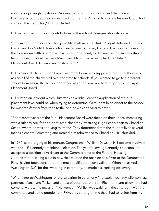was making a laughing stock of Virginia by closing the schools, and that he was hurting business. A lot of people claimed credit for getting Almond to change his mind, but I took some of the credit, too," Hill concluded.

Hill made other significant contributions to the school desegregation struggle.

"Spotswood Robinson and Thurgood Marshall with the NAACP Legal Defense Fund and Carter and I as NAACP lawyers filed suit against Attorney General Harrison, representing the Commonwealth of Virginia, in a three-judge court, to declare the massive resistance laws unconstitutional. Lawyers Marsh and Martin had already had the State Pupil Placement Board declared unconstitutional."

Hill explained, "A three-man Pupil Placement Board was supposed to have authority to assign all of the children all over the state to schools. If you wanted to go to a different school from where the school board had assigned you, you had to apply to the Pupil Placement Board."

Hill related an incident which illustrates how ridiculous the application of the pupil placement laws could be when trying to determine if a student lived closer to the school he was transferring from then to the one he was applying to enter.

"Representatives from the Pupil Placement Board were down on their knees, measuring with a ruler to see if the student lived closer to Armstrong High School than to Chandler School where he was applying to attend. They determined that the student lived several inches closer to Armstrong and denied him admittance to Chandler," Hill chuckled.

In 1960, at the urging of his mentor, Congressman William Dawson, Hill became involved with the J. F. Kennedy presidential election. The year following Kennedy's election, he accepted a position as Assistant to the Commissioner of the Federal Housing Administration, taking a cut in pay. He assumed the position as a favor to the Democratic Party, having been considered the most qualified person available. When he arrived in Washington, D.C. for the swearing-in ceremony, he made a surprising discovery.

"When I got to Washington for the swearing-in ceremony," he explained, "my wife, son, law partners, Marsh and Tucker, and a host of other people from Richmond and elsewhere had come to witness the occasion." He went on, 'While I was waiting in the anteroom with the committee and some people from FHA, they sprung on me that I had to resign from my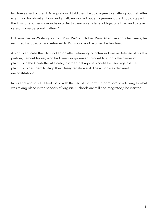law firm as part of the FHA regulations. I told them I would agree to anything but that. After wrangling for about an hour and a half, we worked out an agreement that I could stay with the firm for another six months in order to clear up any legal obligations I had and to take care of some personal matters."

Hill remained in Washington from May, 1961 - October 1966. After five and a half years, he resigned his position and returned to Richmond and rejoined his law firm.

A significant case that Hill worked on after returning to Richmond was in defense of his law partner, Samuel Tucker, who had been subpoenaed to court to supply the names of plaintiffs in the Charlottesville case, in order that reprisals could be used against the plaintiffs to get them to drop their desegregation suit. The action was declared unconstitutional.

In his final analysis, Hill took issue with the use of the term "integration" in referring to what was taking place in the schools of Virginia. "Schools are still not integrated," he insisted.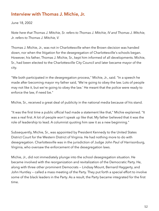#### **Interview with Thomas J. Michie, Jr.**

June 18, 2002

*Note here that Thomas J. Mitchie, Sr. refers to Thomas J. Mitchie, IV and Thomas J. Mitchie, Jr. refers to Thomas J. Mitchie, V.* 

Thomas J. Michie, Jr., was not in Charlottesville when the Brown decision was handed down, nor when the litigation for the desegregation of Charlottesville's schools began. However, his father, Thomas J. Michie, Sr., kept him informed of all developments. Michie, Sr., had been elected to the Charlottesville City Council and later became mayor of the city.

"We both participated in the desegregation process," Michie, Jr., said. "In a speech he made after becoming mayor my father said, 'We're going to obey the law. Lots of people may not like it, but we're going to obey the law.' He meant that the police were ready to enforce the law, if need be."

Michie, Sr., received a great deal of publicity in the national media because of his stand.

"It was the first time a public official had made a statement like that," Michie explained. "It was a real first. A lot of people won't speak up like that. My father believed that it was the role of leadership to lead. A columnist quoting him saw it as a new beginning."

Subsequently, Michie, Sr., was appointed by President Kennedy to the United States District Court for the Western District of Virginia. He had nothing more to do with desegregation. Charlottesville was in the jurisdiction of Judge John Paul of Harrisonburg, Virginia, who oversaw the enforcement of the desegregation laws.

Michie, Jr., did not immediately plunge into the school desegregation situation. He became involved with the reorganization and revitalization of the Democratic Party. He, along with three other prominent Democrats — Lindsay Mount, Bernard Haggerty, and John Huntley — called a mass meeting of the Party. They put forth a special effort to involve some of the black leaders in the Party. As a result, the Party became integrated for the first time.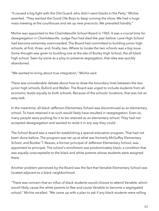"It caused a big fight with the Old Guard, who didn't want blacks in the Party," Michie asserted. "They wanted the Good Ole Boys to keep running the show. We had a huge mass meeting at the courthouse and set up new precincts. We prevailed handily."

Michie was appointed to the Charlottesville School Board in 1965. It was a crucial time for desegregation in Charlottesville. Judge Paul had died the year before. Lane High School had become extremely overcrowded. The Board had committed to building junior high schools, at first, three, and, finally, two. Where to locate the two schools was a big issue. Some thought was given to building one at the site of Burley High School, the all-black high school. Seen by some as a ploy to preserve segregation, that idea was quickly abandoned.

"We wanted to bring about true integration," Michie said.

There was considerable debate about how to draw the boundary lines between the two junior high schools, Buford and Walker. The Board was urged to include students from all economic levels equally to both schools. Because of the schools' locations, that was not an easy task.

In the meantime, all-black Jefferson Elementary School was discontinued as an elementary school. To have retained it as such would likely have resulted in resegregation. Even so, many people were pushing for it to be retained as an elementary school. They had not accepted desegregation and wanted to resist it in any way they could.

The School Board saw a need for establishing a special education program. That had not been done before. The program was set up at what was formerly McGuffey Elementary School, and Booker T. Reaves, a former principal of Jefferson Elementary School, was appointed its principal. The school's enrollment was predominately black, a condition that was equally unacceptable to the black and white parents whose students were assigned there.

Another problem perceived by the Board was the fact that Venable Elementary School was located adjacent to a black neighborhood.

"There was concern that an influx of black students would choose to attend Venable, which would likely cause the white parents to flee and cause Venable to become a segregated school," Michie recalled. "We came up with a plan to ask if any black students were willing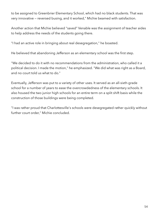to be assigned to Greenbrier Elementary School, which had no black students. That was very innovative — reversed busing, and it worked," Michie beamed with satisfaction.

Another action that Michie believed "saved" Venable was the assignment of teacher aides to help address the needs of the students going there.

"I had an active role in bringing about real desegregation," he boasted.

He believed that abandoning Jefferson as an elementary school was the first step.

"We decided to do it with no recommendations from the administration, who called it a political decision. I made the motion," he emphasized. "We did what was right as a Board, and no court told us what to do."

Eventually, Jefferson was put to a variety of other uses. It served as an all-sixth-grade school for a number of years to ease the overcrowdedness of the elementary schools. It also housed the two junior high schools for an entire term on a split shift basis while the construction of those buildings were being completed.

"I was rather proud that Charlottesville's schools were desegregated rather quickly without further court order," Michie concluded.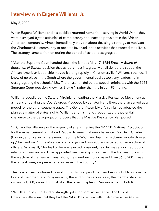### **Interview with Eugene Williams, Jr.**

May 5, 2002

When Eugene Williams and his buddies returned home from serving in World War II, they were dismayed by the attitudes of complacency and inaction prevalent in the African American community. Almost immediately they set about devising a strategy to motivate the Charlottesville community to become involved in the activities that affected their lives. The strategy came to fruition during the period of school desegregation.

"After the Supreme Court handed down the famous May 17, 1954 *Brown v. Board of Education of Topeka* decision that schools must integrate with all deliberate speed, the African American leadership moved it along rapidly in Charlottesville," Williams recalled. "I know of no place in the South where the governmental bodies took any leadership in desegregating the schools." [*Ed.* The phase "all deliberate speed" originates with the 1955 Supreme Court decision known as *Brown II*, rather than the initial 1954 ruling.]

Williams repudiated the State of Virginia for leading the Massive Resistance Movement as a means of defying the Court's order. Proposed by Senator Harry Byrd, the plan served as a model for the other southern states. The General Assembly of Virginia had adopted the plan as a matter of states' rights. Williams and his friends recognized the potential challenge to the desegregation process that the Massive Resistance plan posed.

"In Charlottesville we saw the urgency of strengthening the NAACP (National Association for the Advancement of Colored People) to meet that new challenge. Ray (Bell), Charles (Fowler), and I called a mass meeting of the NAACP and less than a dozen people showed up," he went on. "In the absence of any organized procedure, we called for an election of officers. As a result, Charles Fowler was elected president, Ray Bell was appointed public relations chairman, and I was appointed membership chairman. In the first year following the election of the new administrators, the membership increased from 56 to 900. It was the largest one-year percentage increase in the country."

The new officers continued to work, not only to expand the membership, but to inform the body of the organization's agenda. By the end of the second year, the membership had grown to 1,500, exceeding that of all the other chapters in Virginia except Norfolk.

"Needless to say, that kind of strength got attention" Williams said. The City of Charlottesville knew that they had the NAACP to reckon with. It also made the African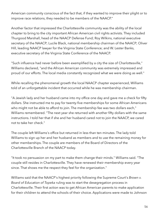American community conscious of the fact that, if they wanted to improve their plight or to improve race relations, they needed to be members of the NAACP."

Another factor that impressed the Charlottesville community was the ability of the local chapter to bring to the city important African American civil rights activists. They included Thurgood Marshall, head of the NAACP Defense Fund; Roy Wilkins, national executive secretary of the NAACP; Lucile Black, national membership chairman of the NAACP; Oliver Hill, leading NAACP lawyer for the Virginia State Conference; and W. Lester Banks, executive secretary of the Virginia State Conference of the NAACP.

"Such influence had never before been exemplified by a city the size of Charlottesville," Williams declared, "and the African American community was extremely impressed and proud of our efforts. The local media constantly recognized what we were doing as well."

While recalling the phenomenal growth the local NAACP chapter experienced, Williams told of an unforgettable incident that occurred while he was membership chairman.

"A Jewish lady and her husband came into my office one day and gave me a check for fifty dollars. She instructed me to pay for twenty-five memberships for some African Americans who might not be able to afford to join. The membership fee was two dollars each," Williams remembered. "The next year she returned with another fifty dollars with the same instructions. I told her that if she and her husband cared not to join the NAACP, we cared not to take her check."

The couple left Williams's office but returned in less than ten minutes. The lady told Williams to sign up her and her husband as members and to use the remaining money for other memberships. The couple are members of the Board of Directors of the Charlottesville Branch of the NAACP today.

"It took no persuasion on my part to make them change their minds." Williams said. "The couple still resides in Charlottesville. They have renewed their membership every year since. That shows me the respect they feel for the organization."

Williams said that the NAACP's highest priority following the Supreme Court's *Brown v. Board of Education of Topeka* ruling was to start the desegregation process in Charlottesville. Their first action was to get African American parents to make application for their children to attend the schools of their choice. Applications were made to Johnson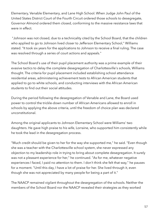Elementary, Venable Elementary, and Lane High School. When Judge John Paul of the United States District Court of the Fourth Circuit ordered those schools to desegregate, Governor Almond ordered them closed, conforming to the massive resistance laws that were in effect.

 "Johnson was not closed, due to a technicality cited by the School Board, that the children who applied to go to Johnson lived closer to Jefferson Elementary School," Williams stated. "It took six years for the applications to Johnson to receive a final ruling. The case was resolved through a series of court actions and appeals."

The School Board's use of their pupil placement authority was a prime example of their evasive tactics to delay the complete desegregation of Charlottesville's schools, Williams thought. The criteria for pupil placement included establishing school attendance residential areas, administering achievement tests to African American students that applied to go to white schools, and conducting interviews with the African American students to find out their social attitudes.

During the period following the desegregation of Venable and Lane, the Board used power to control the trickle-down number of African Americans allowed to enroll in schools by applying the above criteria, until the freedom of choice plan was declared unconstitutional.

Among the original applicants to Johnson Elementary School were Williams' two daughters. He gave high praise to his wife, Lorraine, who supported him consistently while he took the lead in the desegregation process.

"Much credit should be given to her for the way she supported me," he said. "Even though she was a teacher with the Charlottesville school system, she never expressed any objection to my leadership role in trying to bring about complete desegregation. It surely was not a pleasant experience for her," he continued. "As for me, whatever negative experiences I faced, I paid no attention to them. I don't think she felt that way," he pauses for a moment. "Until this day, I have a lot of praise for her. She lived through it, even though she was not appreciated by many people for being a part of it."

The NAACP remained vigilant throughout the desegregation of the schools. Neither the members of the School Board nor the NAACP revealed their strategies as they worked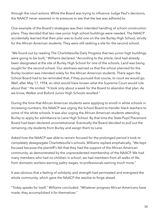through the court actions. While the Board was trying to influence Judge Paul's decisions, the NAACP never wavered in its pressure to see that the law was adhered to.

One example of the Board's strategies was their intended handling of school construction plans. They decided that two new junior high school buildings were needed. The NAACP accidentally learned that their plan was to build one on the site Burley High School, strictly for the African American students. They were still seeking a site for the second school.

"We found out by reading The Charlottesville Daily Progress that two junior high buildings were going to be built," Williams declared. "According to the article, land had already been designated at the site of Burley High School for one of the schools. Land was being sought for the second school. Our alertness warned us that the school planned for the Burley location was intended solely for the African American students. There again the School Board had to be reminded that, if they pursued that course, to court we would go. Well, after May 17, 1954, an idiot would have known what the Supreme Court would rule about that." He smiled. "It took only about a week for the Board to abandon that plan. As we know, Walker and Buford Junior High Schools resulted."

During the time that African American students were applying to enroll in white schools in increasing numbers, the NAACP was urging the School Board to transfer black teachers to some of the white schools. It was also urging the African American students attending Burley to apply for admittance to Lane High School. By that time the State Pupil Placement Board had been declared unconstitutional. Eventually the Board decided to pull out the remaining city students from Burley and assign them to Lane.

Asked how the NAACP was able to remain focused for the prolonged period it took to completely desegregate Charlottesville's schools, Williams replied emphatically, "We kept focused because the plaintiff's felt that they had the support of the African American community, as demonstrated by the unprecedented membership of the NAACP. We had many members who had no children in school; we had members from all walks of life, from domestic workers earning paltry wages, to professionals earning much more."

It was obvious that a feeling of solidarity and strength had permeated and energized the whole community, which gave the NAACP the resolve to forge ahead.

"Today speaks for itself," Williams concluded. "Whatever progress African Americans have made, they accomplished it for themselves."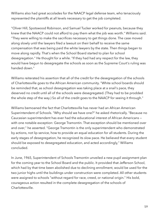Williams also had great accolades for the NAACP legal defense team, who tenaciously represented the plaintiffs at all levels necessary to get the job completed.

"Oliver Hill, Spotswood Robinson, and Samuel Tucker worked for peanuts, because they knew that the NAACP could not afford to pay them what the job was worth." Williams said. "They were willing to make the sacrifices necessary to get things done. The case moved along slowly until the lawyers filed a lawsuit on their behalf to receive the same compensation that was being paid the white lawyers by the state. Then things began to move along rapidly. That's when the School Board started to plan for school desegregation." He thought for a while. "If they had had any respect for the law, they would have begun to desegregate the schools as soon as the Supreme Court's ruling was handed down."

Williams reiterated his assertion that all of the credit for the desegregation of the schools of Charlottesville goes to the African American community. "White school boards should be reminded that, as school desegregation was taking place at a snail's pace, they deserved no credit until all of the schools were desegregated. (They had to be prodded the whole step of the way.) So all of the credit goes to the NAACP for seeing it through."

Williams bemoaned the fact that Charlottesville has never had an African American Superintendent of Schools. "Why should we have one?" he asked rhetorically. "Because no Caucasian superintendent has ever had the educational interest of African Americans with one notable exception: George Tramontin. That exception should be mentioned over and over," he asserted. "George Tramontin is the only superintendent who demonstrated by actions, not lip service, how to provide an equal education for all students. During the early stages of desegregation, he recognized its slow pace. He believed that every student should be exposed to desegregated education, and acted accordingly," Williams concluded.

In June, 1965, Superintendent of Schools Tramontin unveiled a new pupil assignment plan for the coming year to the School Board and the public. It provided that Jefferson School, which had by that time been abolished due to declining enrollment, would be used for the two junior highs until the buildings under construction were completed. All other students were assigned to schools "without regard for race, creed, or national origin." His bold, courageous action resulted in the complete desegregation of the schools of Charlottesville.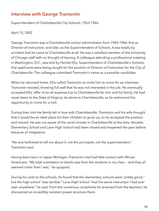#### **Interview with George Tramontin**

Superintendent of Charlottesville City Schools, 1963-1966

April 15, 2002

George Tramontin was a Charlottesville school administrator from 1960-1966, first as Director of Instruction, and later, as the Superintendent of Schools. It was totally by accident that he came to Charlottesville at all. He was a satisfied member of the University of Chicago staff with no thought of leaving. A colleague attending a professional meeting in Washington, D.C., was told by Fendal Ellis, Superintendent of Charlottesville's Schools, that applicants were being sought for the position of Director of Instruction for the City of Charlottesville. The colleague submitted Tramontin's name as a possible candidate.

When he returned home, Ellis called Tramontin to invite him to come for an interview. Tramontin resisted, knowing full well that he was not interested in the job. He eventually accepted Ellis' offer of an all-expense trip to Charlottesville for him and his family. He had never been to the State of Virginia, let alone to Charlottesville, so he welcomed the opportunity to come for a visit.

During their visit the family fell in love with Charlottesville. Tramontin and his wife thought that it would be an ideal place for their children to grow up, so he accepted the position and moved. He was not aware of the racial climate in Charlottesville at the time. Venable Elementary School and Lane High School had been closed and reopened the year before because of integration.

"No one bothered to tell me about it, not the principals, not the superintendent," Tramontin said.

Having been born in Upper Michigan, Tramontin had had little contact with African Americans. "My total orientation to blacks was from the students in my class — and they all seemed richer than I was," he quipped.

During his visits to the schools, he found that the elementary schools were "pretty good," but the high school "was terrible." Lane High School "had the worst instruction I had ever seen anywhere," he said. From the numerous complaints he received from the teachers, he discovered an incredibly resistant power structure there.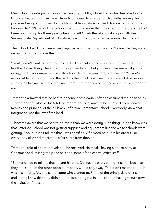Meanwhile the integration crises was heating up. Ellis, whom Tramontin described as "a kind, gentle, retiring man," was strongly opposed to integration. Notwithstanding the pressure being put on them by the National Association for the Advancement of Colored People (NAACP), he and the School Board did no more than they had to. The pressure had been building up for three years when Ellis left Charlottesville to take a job with the Virginia State Department of Education, leaving his position as superintendent vacant.

The School Board interviewed and rejected a number of applicants. Meanwhile they were urging Tramontin to take the job.

"I really didn't want the job," he said. I liked curriculum and working with teachers. I didn't like the "board thing," he added. "It's a powerful job, but you never can see what you're doing, unlike your impact as an instructional leader, a principal, or a teacher. Yet you're responsible for the good and the bad. By the time I took over, there were a lot of people who didn't like me. At the same time, there were others who signed a petition in support of me."

Tramontin admitted that he had to become a fast learner after he assumed the position as superintendent. Most of his tutelage regarding racial matters he received from Booker T. Reaves, the principal of the all-black Jefferson Elementary School. Everybody knew that integration was the law of the land.

"I became aware that we had to do more than we were doing. One thing I didn't know was that Jefferson School was not getting supplies and equipment like the white schools were getting. Booker didn't tell me that. I was horrified. Afterward he put in his orders like everybody else and received his fair share from then on."

Tramontin told of another revelation he received. He recalls having a house party at Christmas and inviting the principals and some of the central office staff.

"Booker called to tell me that he and his wife, Donna, probably wouldn't come, because, if they did, some of the other people probably would stay away. That didn't matter to me. It was just a party. Anyone could come who wanted to. Some of the principals didn't come and let me know that they didn't appreciate being put in a position of having to turn down the invitation," he said.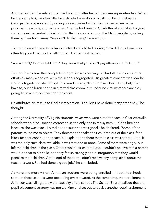Another incident he related occurred not long after he had become superintendent. When he first came to Charlottesville, he instructed everybody to call him by his first name, George. He reciprocated by calling his associates by their first names as well —the principals, teachers, and secretaries. After he had been in Charlottesville for about a year, someone in the central office told him that he was offending the black people by calling them by their first names. "We don't do that here," he was told.

Tramontin raced down to Jefferson School and chided Booker, "You didn't tell me I was offending black people by calling them by their first names!"

"You weren't," Booker told him. "They knew that you didn't pay attention to that stuff."

Tramontin was sure that complete integration was coming to Charlottesville despite the efforts by many whites to keep the schools segregated. His greatest concern was how he would integrate the staff. People had made it very clear that "we don't like it, but, if we have to, our children can sit in a mixed classroom, but under no circumstances are they going to have a black teacher," they said.

He attributes his rescue to God's intervention. "I couldn't have done it any other way," he thought.

Among the University of Virginia students' wives who were hired to teach in Charlottesville schools was a black speech correctionist, the only one in the system. "I didn't hire her because she was black; I hired her because she was good," he declared. "Some of the parents called me to object. They threatened to take their children out of the class if the black teacher continued to teach it. I explained to them that the class was not required. It was the only such class available. It was that one or none. Some of them were angry, but left their children in the class. Others took their children out. I couldn't believe that a parent would do that to his child, and they felt so strongly about integration that they would penalize their children. At the end of the term I didn't receive any complaints about the teacher's work. She had done a good job," he concluded.

As more and more African American students were being enrolled in the white schools, some of those schools were becoming overcrowded. At the same time, the enrollment at Jefferson was falling below the capacity of the school. The School Board realized that the pupil placement strategy was not working and set out to devise another pupil assignment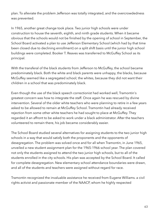plan. To alleviate the problem Jefferson was totally integrated, and the overcrowdedness was prevented.

In 1965, another great change took place. Two junior high schools were under construction to house the seventh, eighth, and ninth grade students. When it became obvious that the schools would not be finished by the opening of school in September, the School Board activated a plan to use Jefferson Elementary School (which had by that time been closed due to declining enrollment) on a split shift basis until the junior high school buildings were completed. Booker T. Reaves was transferred to McGuffey School as its principal.

With the transferal of the black students from Jefferson to McGuffey, the school became predominately black. Both the white and black parents were unhappy, the blacks, because McGuffey seemed like a segregated school; the whites, because they did not want their children in a school that was predominately black.

Even though the use of the black speech correctionist had worked well, Tramontin's greatest concern was how to integrate the staff. Once again he was rescued by divine intervention. Several of the older white teachers who were planning to retire in a few years asked to be allowed to remain at McGuffey School. Tramontin had already received rejection from some other white teachers he had sought to place at McGuffey. They regarded it an affront to be asked to work under a black administrator. After the teachers volunteered to remain there, his job became considerably easier.

The School Board studied several alternatives for assigning students to the two junior high schools in a way that would satisfy both the proponents and the opponents of desegregation. The problem was solved once and for all when Tramontin, in June 1965, unveiled a new student assignment plan for the 1965-1966 school year. The plan covered not only the students assigned to attend the two junior high schools, but to all of the students enrolled in the city schools. His plan was accepted by the School Board. It called for complete desegregation. New elementary school attendance boundaries were drawn, and all of the students and teachers were assigned without regard for race.

Tramontin recognized the invaluable assistance he received from Eugene Williams. a civil rights activist and passionate member of the NAACP, whom he highly respected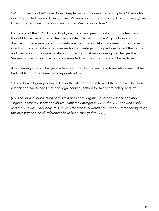"Without him I couldn't have done it (implemented the desegregation plan)," Tramontin said. "He trusted me and I trusted him. We were both under pressure. I told him everything I was doing, and we understood each other. We got along fine."

By the end of the 1965-1966 school year, there was great unrest among the teachers thought to be caused by low teacher morale. Officials from the Virginia Education Association were summoned to investigate the situation. At a mass meeting before an overflow crowd, speaker after speaker took advantage of the platform to vent their anger and frustration in their relationships with Tramontin. After reviewing the charges the Virginia Education Association recommended that the superintendent be replaced.

After hearing vitriolic charges made against him by the teachers, Tramontin knew that he had lost heart for continuing as superintendent.

"I knew I wasn't going to stay in Charlottesville regardless to what the Virginia Education Association had to say. I retained legal counsel, settled for two years' salary, and left."

*[Ed. The original publication of this text uses both Virginia Education Association and Virginia Teachers Association above. Until their merger in 1965, the VEA was white-only and the VTA was Black-only. It is unlikely that the VTA would have been summoned by to do this investigation, so all references have been changed to VEA.]*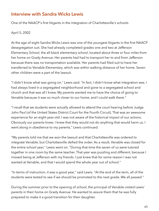#### **Interview with Sandra Wicks Lewis**

One of the NAACP's first litigants in the integration of Charlottesville's schools

#### April 5, 2002

At the age of eight Sandra Wicks Lewis was one of the youngest litigants in the first NAACP desegregation suit. She had already completed grades one and two at Jefferson Elementary School, the all-black elementary school, located about three or four miles from her home on Grady Avenue. Her parents had had to transport her to and from Jefferson because there was no transportation available. Her parents had filed suit to have her transferred to Venable Elementary, which was within walking distance of her home. Seven other children were a part of the lawsuit.

"I didn't know what was going on," Lewis said. "In fact, I didn't know what integration was. I had always lived in a segregated neighborhood and gone to a segregated school and church and that was all I knew. My parents wanted me to have the choice of going to Venable because it was so much closer to our home, and I could walk there."

"I recall that we students were actually allowed to attend the court hearing before Judge John Paul (of the United States District Court for the Fourth Circuit). That was an awesome experience for an eight-year-old. I was not aware of the historical impact of our actions. Obviously our parents knew. I knew that they would not do anything that would harm us. I went along in obedience to my parents," Lewis continued.

"My parents told me that we won the lawsuit and that Charlottesville was ordered to integrate Venable, but Charlottesville defied the order. As a result, Venable was closed for the entire school year," Lewis went on. "During that time the seven of us were tutored together in one room by the same teacher. That year was puzzling and different, because I missed being at Jefferson with my friends. I just knew that for some reason I was not wanted at Venable, and that I would spend the whole year out of school."

"In terms of instruction, it was a good year," said Lewis. "At the end of the term, all of the students were tested to see if we should be promoted to the next grade. We all passed."

During the summer prior to the opening of school, the principal of Venable visited Lewis' parents in their home on Grady Avenue. He wanted to assure them that he was fully prepared to make it a good transition for their daughter.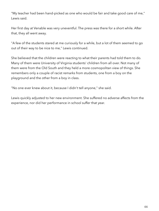"My teacher had been hand-picked as one who would be fair and take good care of me," Lewis said.

Her first day at Venable was very uneventful. The press was there for a short while. After that, they all went away.

"A few of the students stared at me curiously for a while, but a lot of them seemed to go out of their way to be nice to me," Lewis continued.

She believed that the children were reacting to what their parents had told them to do. Many of them were University of Virginia students' children from all over. Not many of them were from the Old South and they held a more cosmopolitan view of things. She remembers only a couple of racist remarks from students, one from a boy on the playground and the other from a boy in class.

"No one ever knew about it, because I didn't tell anyone," she said.

Lewis quickly adjusted to her new environment. She suffered no adverse affects from the experience, nor did her performance in school suffer that year.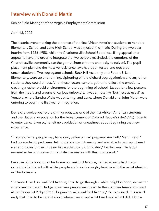#### **Interview with Donald Martin**

Senior Field Manager of the Virginia Employment Commission

April 18, 2002

The historic event marking the entrance of the first African American students to Venable Elementary School and Lane High School was almost anti-climatic. During the two-year interim from 1956-1958, while the Charlottesville School Board was filing appeal after appeal to have the order to integrate the two schools rescinded, the emotions of the Charlottesville community ran the gamut, from extreme animosity to naiveté. The pupil placement plan and the massive resistance laws had been tested and declared unconstitutional. Two segregated schools, Rock Hill Academy and Robert E. Lee Elementary, were up and running. siphoning off the diehard segregationists and any other students they could attract. All of those factors came together to diffuse the emotions, creating a rather placid environment for the beginning of school. Except for a few persons from the media and groups of curious onlookers, it was almost like "business as usual" at Venable, where Sandra Wicks was entering, and Lane, where Donald and John Martin were entering to begin the first year of integration.

Donald, a twelve-year-old eighth grader, was one of the first African American students and the National Association for the Advancement of Colored People's (NAACP's) litigants to enter Lane. Even so, he felt no trepidation or uneasiness about beginning that new experience.

"In spite of what people may have said, Jefferson had prepared me well," Martin said. "I had no academic problems, felt no deficiency in training, and was able to pick up where I was and move forward. I never felt academically intimidated," he declared. "In fact, I remember helping some of my white classmates with their homework."

Because of the location of his home on Lankford Avenue, he had already had many occasions to interact with white people and was thoroughly familiar with the racial situation in Charlottesville.

"Because I lived on Lankford Avenue, I had to go through a white neighborhood, no matter what direction I went. Ridge Street was predominantly white then. African Americans lived at the far end of Ridge Street, beginning with Lankford Avenue," he explained. "I learned early that I had to be careful about where I went, and what I said, and what I did. I know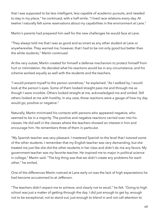that I was supposed to be less intelligent, less capable of academic pursuits, and needed to stay in my place," he continued, with a half-smile. "I lived race relations every day. At twelve I naturally felt some reservations about my capabilities in the environment at Lane."

Martin's parents had prepared him well for the new challenges he would face at Lane.

"They always told me that I was as good and as smart as any other student at Lane or anywhere else. They warned me, however, that I had to be not only good but better than the white students," Martin continued.

At the very outset, Martin created for himself a defense mechanism to protect himself from hurt or intimidation. He decided what his reactions would be in any circumstance, and his scheme worked equally as well with the students and the teachers.

"I would present myself to the person somehow," he explained. "As I walked by, I would look at the person's eyes. Some of them looked straight pass me and through me as though I were invisible. Others looked straight at me, acknowledged me and smiled. Still others looked at me with hostility. In any case, those reactions were a gauge of how my day would go, positive or negative."

Naturally, Martin minimized his contacts with persons who appeared negative, who seemed to be in a majority. The positive and negative reactions carried over into his classes. He did well in the classes where the teachers showed an interest in him and encourage him. He remembers three of them in particular.

"My Spanish teacher was very pleasant. I mastered Spanish to the level that I tutored some of the other students. I remember that my English teacher was very demanding, but she treated me just like she did the other students in her class and didn't do me any favors. My government teacher was my favorite teacher. He inspired me to major in political science in college," Martin said. "The big thing was that we didn't create any problems for each other," he smiled.

One of the differences Martin noticed at Lane early on was the lack of high expectations he had become accustomed to at Jefferson.

"The teachers didn't expect me to achieve, and clearly not to excel," he felt. "Going to high school was just a matter of getting through the day. I did just enough to get by, enough not to be exceptional, not to stand out, just enough to blend in and not call attention to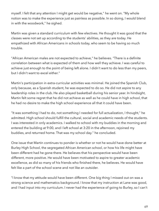myself. I felt that any attention I might get would be negative," he went on. "My whole notion was to make the experience just as painless as possible. In so doing, I would blend in with the woodwork," he sighed.

Martin was given a standard curriculum with few electives. He thought it was good that the classes were not set up according to the students' abilities, as they are today. He empathized with African Americans in schools today, who seem to be having so much trouble.

"African American males are not expected to achieve," he believes. "There is a definite correlation between what is expected of them and how well they achieve. I was careful to achieve just enough to the point of being left alone. I didn't want to do less than my peers, but I didn't want to excel either."

Martin's participation in extra-curricular activities was minimal. He joined the Spanish Club, only because, as a Spanish student, he was expected to do so. He did not aspire to any leadership roles in the club. He also played basketball during his senior year. In hindsight, Martin felt some regret that he did not achieve as well as he could have in high school, that he had no desire to make the high school experience all that it could have been.

"It was something I had to do, not something I needed for full actualization, I thought," he admitted. High school should fulfill the cultural, social and academic needs of the students. I was interested in only academics. I walked to school with my buddies in the morning and entered the building at 9:00, and I left school at 3:20 in the afternoon, rejoined my buddies, and returned home. That was my school day." he concluded.

One issue that Martin continues to ponder is whether or not he would have done better at Burley High School, the segregated African American school, or how his life might have been different had he gone there. He believes that his perspective would have been different, more positive. He would have been motivated to aspire to greater academic excellence, as did so many of his friends who finished there, he believes. He would have felt like a part of the school scene and not like an outsider.

"I know that my attitude would have been different. One big thing I missed out on was a strong science and mathematics background. I know that my instruction at Lane was good, and I had input into my curriculum. I never had the experience of going to Burley, so I can't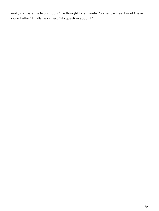really compare the two schools." He thought for a minute. "Somehow I feel I would have done better." Finally he sighed, "No question about it."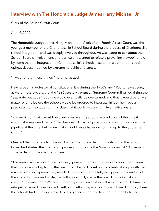#### **Interview with The Honorable Judge James Harry Michael, Jr.**

Clerk of the Fourth Circuit Court

#### April 9, 2002

The Honorable Judge James Harry Michael, Jr., Clerk of the Fourth Circuit Court, was the youngest member of the Charlottesville School Board during the process of Charlottesville school integration, and was deeply involved throughout. He was eager to talk about the School Board's involvement, and particularly wanted to refute a prevailing viewpoint held by some that the integration of Charlottesville's schools resulted in a tremendous social upheaval, accompanied by extreme hardship and stress.

"It was none of those things," he emphasized.

Having been a professor of constitutional law during the 1950's and 1960's, he was sure, as were most lawyers, that the 1896 *Plessy v. Ferguson* Supreme Court ruling, legalizing the "Separate but Equal" doctrine would eventually be overturned, and that it would be only a matter of time before the schools would be ordered to integrate. In fact, he made a prediction to the students in his class that it would occur within twenty-five years.

"My prediction that it would be overturned was right, but my prediction of the time it would take was dead wrong." He chuckled. "I was not privy to what was coming down the pipeline at the time, but I knew that it would be a challenge coming up to the Supreme Court."

One fact that is generally unknown by the Charlottesville community is that the School Board had started the integration process long before the *Brown v. Board of Education of Topeka* decision was handed down.

"The reason was simple," he explained, "pure economics. The whole School Board knew that money was a big factor, that we couldn't afford to set up two identical shops with the materials and equipment they needed. So we set up one fully-equipped shop, and all of the students, black and white, had full access to it, across the board. It worked like a charm," he continued. "We never heard a peep from anybody. It was no secret. Ultimately integration would have worked itself out if left alone, even in Prince Edward County (where the schools had remained closed for five years rather than to integrate)," he believed.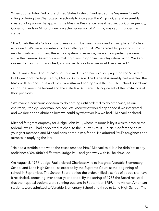When Judge John Paul of the United States District Court issued the Supreme Court's ruling ordering the Charlottesville schools to integrate, the Virginia General Assembly created a big uproar by applying the Massive Resistance laws it had set up. Consequently, Governor Lindsay Almond, newly elected governor of Virginia, was caught under the statue.

"The Charlottesville School Board was caught between a rock and a hard place." Michael explained. 'We were powerless to do anything about it. We decided to go along with our regular routine of running the school system. In essence, we went on perfectly normal, while the General Assembly was making plans to oppose the integration ruling. We kept our ear to the ground, watched, and waited to see how we would be affected."

The *Brown v. Board of Education of Topeka* decision had explicitly rejected the Separate but Equal doctrine legalized by *Plessy v. Ferguson*. The General Assembly had enacted the Massive Resistance laws and Governor Almond had applied the law. The School Board was caught between the federal and the state law. All were fully cognizant of the limitations of their positions.

"We made a conscious decision to do nothing until ordered to do otherwise, as our chairman, Stanley Goodman, advised. We knew what would happened if we integrated, and we decided to abide as best we could by whatever law we had," Michael declared.

Michael felt great empathy for Judge John Paul, whose responsibility it was to enforce the federal law. Paul had appointed Michael to the Fourth Circuit Judicial Conference as its youngest member, and Michael considered him a friend. He admired Paul's toughness and fairness in applying the law.

"He had a terrible time when the cases reached him," Michael said, but he didn't take any foolishness. You didn't differ with Judge Paul and get away with it," he chuckled.

On August 5, 1956, Judge Paul ordered Charlottesville to integrate Venable Elementary School and Lane High School, as ordered by the Supreme Court, at the beginning of school in September. The School Board defied the order. It filed a series of appeals to have it rescinded, stretching over a two-year period. By the spring of 1958 the Board realized that their appeal options were running out, and in September 1959, nine African American students were admitted to Venable Elementary School and three to Lane High School. The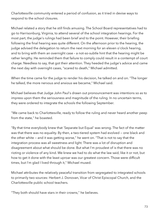Charlottesville community entered a period of confusion, as it tried in devise ways to respond to the school closures.

Michael related a story that he still finds amusing. The School Board representatives had to go to Harrisonburg, Virginia, to attend several of the school integration hearings. For the most part, the judge's rulings had been brief and to the point. However, their briefing following the final hearing was quite different. On the afternoon prior to the hearing, the judge advised the delegation to return the next morning for an eleven o'clock hearing, and to bring with them an overnight case – a not-so-subtle hint that the hearing might be rather lengthy. He reminded them that failure to comply could result in a contempt of court charge. Needless to say, that got their attention. They heeded the judge's advice and came the next day with overnight cases, "scared to death," Michael admitted.

When the time came for the judge to render his decision, he talked on and on. "The longer he talked, the more nervous and anxious we became," Michael said.

Michael believes that Judge John Paul's drawn out pronouncement was intentions so as to impress upon them the seriousness and magnitude of the ruling. In no uncertain terms, they were ordered to integrate the schools the following September.

"We came back to Charlottesville, ready to follow the ruling and never heard another peep from the state," he boasted.

"By that time everybody knew that 'Separate but Equal' was wrong. The fact of the matter was that there was no equality. By then, a two-tiered system had evolved — one black and the other white — and it was getting worse," he went on. "That is not to say that the integration process was all sweetness and light. There was a lot of disruption and disagreement about what should be done. But what I'm proudest of is that there was no rioting or violence of any kind. We knew we had to do what the law said, like it or not, but how to get it done with the least uproar was our greatest concern. Those were difficult times, but I'm glad I lived through it," Michael mused.

Michael attributes the relatively peaceful transition from segregated to integrated schools to primarily two sources: Herbert J. Donovan, Vicar of Christ Episcopal Church, and the Charlottesville public school teachers.

"They both should have stars in their crowns," he believes.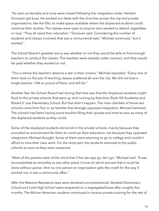"As soon as Venable and Lane were closed following the integration order, Herbert Donovan got busy. He worked out deals with the churches across the city and private organizations, like the Elks, to make space available where the displaced students could continue their studies. The classes were open to anyone who wanted to attend, regardless or race. "They all need their education," Donovan said. Considering the number of students and classes involved, that was a monumental task," Michael continued, "but it worked."

The School Board's greatest worry was whether or not they would be able to find enough teachers to conduct the classes. The teachers were already under contract, and they would be paid whether they worked or not.

"This is where the teachers deserve a star in their crowns," Michael repeated. "Every one of them took on the job of teaching classes scattered all over the city. We did not lose a single teacher. I felt so proud of them, and still do."

Another fear the School Board had during that time was that the displaced students might flock to the private schools that were up and running by that time, Rock Hill Academy and Robert E. Lee Elementary School. But that didn't happen. The main clientele of those two schools came from five or six families that strongly opposed integration, Michael believed. The schools had been having some trouble filling their quotas and tried to woo as many of the displaced students as they could.

Some of the displaced students did enroll in the private schools, mainly because they provided an environment for them to continue their education, not because they opposed integration, Michael thought. Some of them were planning to go to college and couldn't afford to miss their class work. For the most part, the students returned to the public schools as soon as they were reopened.

"Most of the parents were of the mind that if the law says go, let's go." Michael said. "It was accomplished as smoothly as any other place I know of, which proved that it could be done without uproar. And no one person or organization gets the credit for the way it worked out. It was a community affair."

After the Massive Resistance laws were declared unconstitutional, Venable Elementary School and Lane High School were reopened on a segregated basis after roughly five months. The African American students continued to receive private tutoring for the rest of